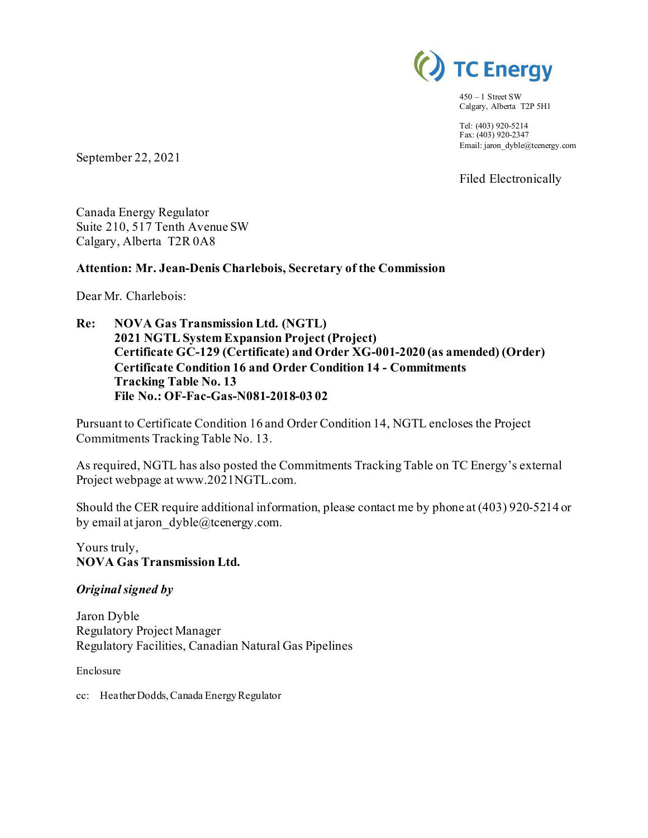

 $450 - 1$  Street SW Calgary, Alberta T2P 5H1

Tel: (403) 920-5214 Fax: (403) 920-2347 Email: jaron\_dyble@tcenergy.com

Filed Electronically

September 22, 2021

Canada Energy Regulator Suite 210, 517 Tenth Avenue SW Calgary, Alberta T2R 0A8

#### **Attention: Mr. Jean-Denis Charlebois, Secretary of the Commission**

Dear Mr. Charlebois:

**Re: NOVA Gas Transmission Ltd. (NGTL) 2021 NGTL System Expansion Project (Project) Certificate GC-129 (Certificate) and Order XG-001-2020 (as amended) (Order) Certificate Condition 16 and Order Condition 14 - Commitments Tracking Table No. 13 File No.: OF-Fac-Gas-N081-2018-03 02**

Pursuant to Certificate Condition 16 and Order Condition 14, NGTL encloses the Project Commitments Tracking Table No. 13.

As required, NGTL has also posted the Commitments Tracking Table on TC Energy's external Project webpage at www.2021NGTL.com.

Should the CER require additional information, please contact me by phone at (403) 920-5214 or by email at jaron  $dyble@tcentery.com$ .

Yours truly, **NOVA Gas Transmission Ltd.**

#### *Original signed by*

Jaron Dyble Regulatory Project Manager Regulatory Facilities, Canadian Natural Gas Pipelines

Enclosure

cc: Heather Dodds, Canada Energy Regulator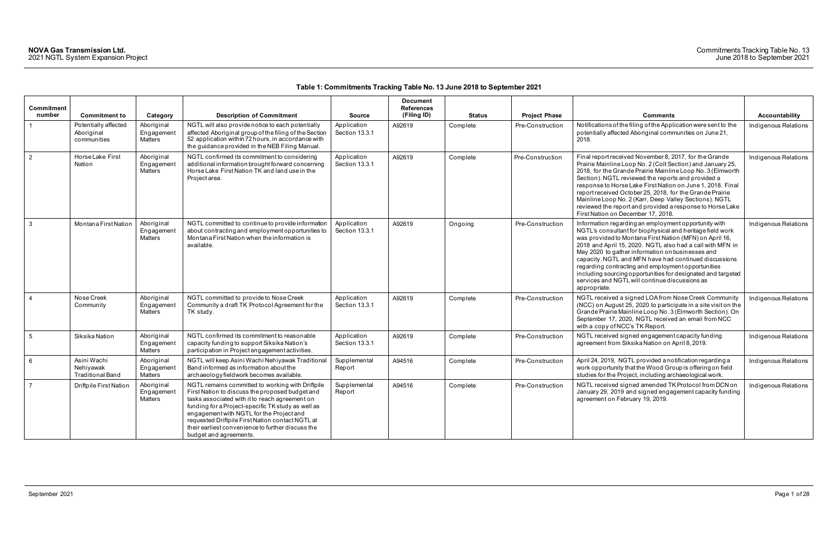| <b>Commitment</b> |                                                     |                                     |                                                                                                                                                                                                                                                                                                                                                                                            |                                      | <b>Document</b><br><b>References</b> |               |                      |                                                                                                                                                                                                                                                                                                                                                                                                                                                                                                                                                |                       |
|-------------------|-----------------------------------------------------|-------------------------------------|--------------------------------------------------------------------------------------------------------------------------------------------------------------------------------------------------------------------------------------------------------------------------------------------------------------------------------------------------------------------------------------------|--------------------------------------|--------------------------------------|---------------|----------------------|------------------------------------------------------------------------------------------------------------------------------------------------------------------------------------------------------------------------------------------------------------------------------------------------------------------------------------------------------------------------------------------------------------------------------------------------------------------------------------------------------------------------------------------------|-----------------------|
| number            | <b>Commitment to</b>                                | Category                            | <b>Description of Commitment</b>                                                                                                                                                                                                                                                                                                                                                           | <b>Source</b>                        | (Filing ID)                          | <b>Status</b> | <b>Project Phase</b> | <b>Comments</b>                                                                                                                                                                                                                                                                                                                                                                                                                                                                                                                                | <b>Accountability</b> |
|                   | Potentially affected<br>Aboriginal<br>communities   | Aboriginal<br>Engagement<br>Matters | NGTL will also provide notice to each potentially<br>affected Aboriginal group of the filing of the Section<br>52 application within 72 hours, in accordance with<br>the guidance provided in the NEB Filing Manual.                                                                                                                                                                       | Application<br>Section 13.3.1        | A92619                               | Complete      | Pre-Construction     | Notifications of the filing of the Application were sent to the<br>potentially affected Aboriginal communities on June 21,<br>2018.                                                                                                                                                                                                                                                                                                                                                                                                            | Indigenous Relations  |
| $\overline{2}$    | Horse Lake First<br>Nation                          | Aboriginal<br>Engagement<br>Matters | NGTL confirmed its commitment to considering<br>additional information brought forward concerning<br>Horse Lake First Nation TK and land use in the<br>Project area.                                                                                                                                                                                                                       | Application<br>Section 13.3.1        | A92619                               | Complete      | Pre-Construction     | Final report received November 8, 2017, for the Grande<br>Prairie Mainline Loop No. 2 (Colt Section) and January 25,<br>2018, for the Grande Prairie Mainline Loop No. 3 (Elmworth<br>Section). NGTL reviewed the reports and provided a<br>response to Horse Lake First Nation on June 1, 2018. Final<br>report received October 25, 2018, for the Grande Prairie<br>Mainline Loop No. 2 (Karr, Deep Valley Sections). NGTL<br>reviewed the report and provided a response to Horse Lake<br>First Nation on December 17, 2018.                | Indigenous Relations  |
| $\mathbf{3}$      | Montana First Nation                                | Aboriginal<br>Engagemen<br>Matters  | NGTL committed to continue to provide information<br>about contracting and employment opportunities to<br>Montana First Nation when the information is<br>available.                                                                                                                                                                                                                       | Application<br>Section 13.3.1        | A92619                               | Ongoing       | Pre-Construction     | Information regarding an employment opportunity with<br>NGTL's consultant for biophysical and heritage field work<br>was provided to Montana First Nation (MFN) on April 16,<br>2018 and April 15, 2020. NGTL also had a call with MFN in<br>May 2020 to gather information on businesses and<br>capacity. NGTL and MFN have had continued discussions<br>regarding contracting and employment opportunities<br>including sourcing opportunities for designated and targeted<br>services and NGTL will continue discussions as<br>appropriate. | Indigenous Relations  |
| $\overline{4}$    | Nose Creek<br>Community                             | Aboriginal<br>Engagement<br>Matters | NGTL committed to provide to Nose Creek<br>Community a draft TK Protocol Agreement for the<br>TK study.                                                                                                                                                                                                                                                                                    | Application<br>Section 13.3.1        | A92619                               | Complete      | Pre-Construction     | NGTL received a signed LOA from Nose Creek Community<br>(NCC) on August 25, 2020 to participate in a site visit on the<br>Grande Prairie Mainline Loop No. 3 (Elmworth Section). On<br>September 17, 2020, NGTL received an email from NCC<br>with a copy of NCC's TK Report.                                                                                                                                                                                                                                                                  | Indigenous Relations  |
| $5\phantom{.0}$   | Siksika Nation                                      | Aboriginal<br>Engagement<br>Matters | NGTL confirmed its commitment to reasonable<br>capacity funding to support Siksika Nation's<br>participation in Project engagement activities.                                                                                                                                                                                                                                             | Application<br><b>Section 13.3.1</b> | A92619                               | Complete      | Pre-Construction     | NGTL received signed engagement capacity funding<br>agreement from Siksika Nation on April 8, 2019.                                                                                                                                                                                                                                                                                                                                                                                                                                            | Indigenous Relations  |
| 6                 | Asini Wachi<br>Nehiyawak<br><b>Traditional Band</b> | Aboriginal<br>Engagement<br>Matters | NGTL will keep Asini Wachi Nehiyawak Traditional<br>Band informed as information about the<br>archaeology fieldwork becomes available.                                                                                                                                                                                                                                                     | Supplemental<br>Report               | A94516                               | Complete      | Pre-Construction     | April 24, 2019, NGTL provided a notification regarding a<br>work opportunity that the Wood Group is offering on field<br>studies for the Project, including archaeological work.                                                                                                                                                                                                                                                                                                                                                               | Indigenous Relations  |
| $\overline{7}$    | Driftpile First Nation                              | Aboriginal<br>Engagemen<br>Matters  | NGTL remains committed to working with Driftpile<br>First Nation to discuss the proposed budget and<br>tasks associated with it to reach agreement on<br>funding for a Project-specific TK study as well as<br>engagement with NGTL for the Project and<br>requested Driftpile First Nation contact NGTL at<br>their earliest convenience to further discuss the<br>budget and agreements. | Supplemental<br>Report               | A94516                               | Complete      | Pre-Construction     | NGTL received signed amended TK Protocol from DCN on<br>January 29, 2019 and signed engagement capacity funding<br>agreement on February 19, 2019.                                                                                                                                                                                                                                                                                                                                                                                             | Indigenous Relations  |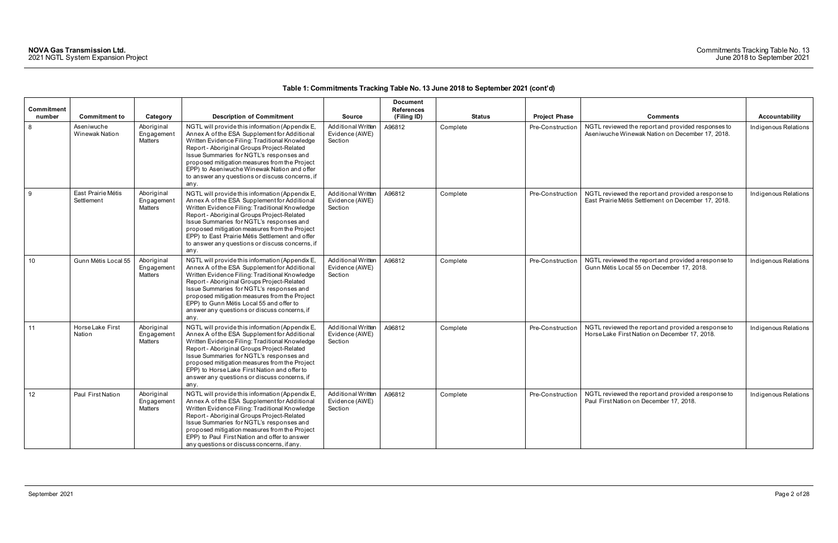| Commitment<br>number | <b>Commitment to</b>             | Category                                   | <b>Description of Commitment</b>                                                                                                                                                                                                                                                                                                                                                                           | <b>Source</b>                                          | <b>Document</b><br><b>References</b><br>(Filing ID) | <b>Status</b> | <b>Project Phase</b> | <b>Comments</b>                                                                                            | Accountability       |
|----------------------|----------------------------------|--------------------------------------------|------------------------------------------------------------------------------------------------------------------------------------------------------------------------------------------------------------------------------------------------------------------------------------------------------------------------------------------------------------------------------------------------------------|--------------------------------------------------------|-----------------------------------------------------|---------------|----------------------|------------------------------------------------------------------------------------------------------------|----------------------|
| 8                    | Aseniwuche<br>Winewak Nation     | Aboriginal<br>Engagement<br><b>Matters</b> | NGTL will provide this information (Appendix E,<br>Annex A of the ESA Supplement for Additional<br>Written Evidence Filing: Traditional Knowledge<br>Report - Aboriginal Groups Project-Related<br>Issue Summaries for NGTL's responses and<br>proposed mitigation measures from the Project<br>EPP) to Aseniwuche Winewak Nation and offer<br>to answer any questions or discuss concerns, if<br>any.     | Additional Written<br>Evidence (AWE)<br>Section        | A96812                                              | Complete      | Pre-Construction     | NGTL reviewed the report and provided responses to<br>Aseniwuche Winewak Nation on December 17, 2018.      | Indigenous Relations |
| 9                    | East Prairie Métis<br>Settlement | Aboriginal<br>Engagement<br><b>Matters</b> | NGTL will provide this information (Appendix E,<br>Annex A of the ESA Supplement for Additional<br>Written Evidence Filing: Traditional Knowledge<br>Report - Aboriginal Groups Project-Related<br>Issue Summaries for NGTL's responses and<br>proposed mitigation measures from the Project<br>EPP) to East Prairie Métis Settlement and offer<br>to answer any questions or discuss concerns, if<br>any. | <b>Additional Written</b><br>Evidence (AWE)<br>Section | A96812                                              | Complete      | Pre-Construction     | NGTL reviewed the report and provided a response to<br>East Prairie Métis Settlement on December 17, 2018. | Indigenous Relations |
| 10                   | Gunn Métis Local 55              | Aboriginal<br>Engagement<br><b>Matters</b> | NGTL will provide this information (Appendix E,<br>Annex A of the ESA Supplement for Additional<br>Written Evidence Filing: Traditional Knowledge<br>Report - Aboriginal Groups Project-Related<br>Issue Summaries for NGTL's responses and<br>proposed mitigation measures from the Project<br>EPP) to Gunn Métis Local 55 and offer to<br>answer any questions or discuss concerns, if<br>any.           | <b>Additional Written</b><br>Evidence (AWE)<br>Section | A96812                                              | Complete      | Pre-Construction     | NGTL reviewed the report and provided a response to<br>Gunn Métis Local 55 on December 17, 2018.           | Indigenous Relations |
| 11                   | Horse Lake First<br>Nation       | Aboriginal<br>Engagement<br>Matters        | NGTL will provide this information (Appendix E,<br>Annex A of the ESA Supplement for Additional<br>Written Evidence Filing: Traditional Knowledge<br>Report - Aboriginal Groups Project-Related<br>Issue Summaries for NGTL's responses and<br>proposed mitigation measures from the Project<br>EPP) to Horse Lake First Nation and offer to<br>answer any questions or discuss concerns, if<br>any.       | Additional Written<br>Evidence (AWE)<br>Section        | A96812                                              | Complete      | Pre-Construction     | NGTL reviewed the report and provided a response to<br>Horse Lake First Nation on December 17, 2018.       | Indigenous Relations |
| 12                   | Paul First Nation                | Aboriginal<br>Engagement<br>Matters        | NGTL will provide this information (Appendix E,<br>Annex A of the ESA Supplement for Additional<br>Written Evidence Filing: Traditional Knowledge<br>Report - Aboriginal Groups Project-Related<br>Issue Summaries for NGTL's responses and<br>proposed mitigation measures from the Project<br>EPP) to Paul First Nation and offer to answer<br>any questions or discuss concerns, if any.                | <b>Additional Written</b><br>Evidence (AWE)<br>Section | A96812                                              | Complete      | Pre-Construction     | NGTL reviewed the report and provided a response to<br>Paul First Nation on December 17, 2018.             | Indigenous Relations |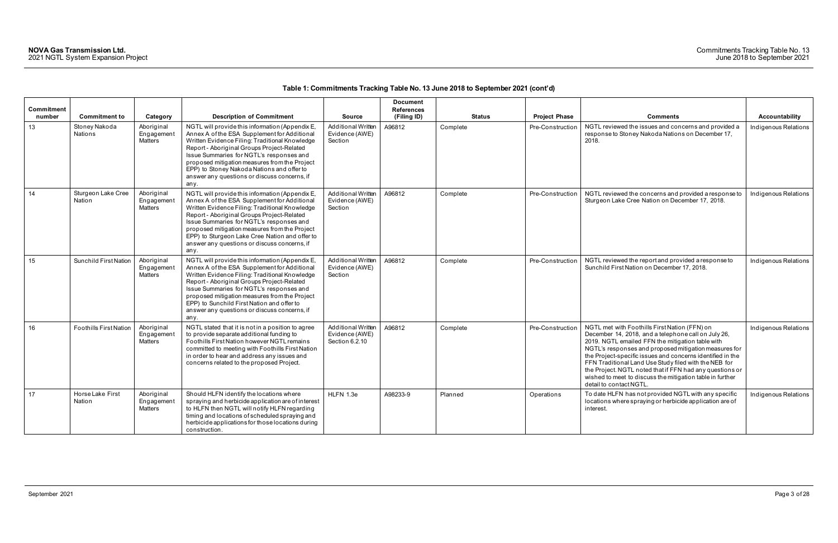| Commitment |                                 |                                     |                                                                                                                                                                                                                                                                                                                                                                                                        |                                                               | <b>Document</b><br><b>References</b> |               |                      |                                                                                                                                                                                                                                                                                                                                                                                                                                                                                              |                      |
|------------|---------------------------------|-------------------------------------|--------------------------------------------------------------------------------------------------------------------------------------------------------------------------------------------------------------------------------------------------------------------------------------------------------------------------------------------------------------------------------------------------------|---------------------------------------------------------------|--------------------------------------|---------------|----------------------|----------------------------------------------------------------------------------------------------------------------------------------------------------------------------------------------------------------------------------------------------------------------------------------------------------------------------------------------------------------------------------------------------------------------------------------------------------------------------------------------|----------------------|
| number     | <b>Commitment to</b>            | Category                            | <b>Description of Commitment</b>                                                                                                                                                                                                                                                                                                                                                                       | <b>Source</b>                                                 | (Filing ID)                          | <b>Status</b> | <b>Project Phase</b> | <b>Comments</b>                                                                                                                                                                                                                                                                                                                                                                                                                                                                              | Accountability       |
| 13         | Stoney Nakoda<br><b>Nations</b> | Aboriginal<br>Engagement<br>Matters | NGTL will provide this information (Appendix E,<br>Annex A of the ESA Supplement for Additional<br>Written Evidence Filing: Traditional Knowledge<br>Report - Aboriginal Groups Project-Related<br>Issue Summaries for NGTL's responses and<br>proposed mitigation measures from the Project<br>EPP) to Stoney Nakoda Nations and offer to<br>answer any questions or discuss concerns, if<br>any.     | <b>Additional Written</b><br>Evidence (AWE)<br>Section        | A96812                               | Complete      | Pre-Construction     | NGTL reviewed the issues and concerns and provided a<br>response to Stoney Nakoda Nations on December 17,<br>2018.                                                                                                                                                                                                                                                                                                                                                                           | Indigenous Relations |
| 14         | Sturgeon Lake Cree<br>Nation    | Aboriginal<br>Engagement<br>Matters | NGTL will provide this information (Appendix E,<br>Annex A of the ESA Supplement for Additional<br>Written Evidence Filing: Traditional Knowledge<br>Report - Aboriginal Groups Project-Related<br>Issue Summaries for NGTL's responses and<br>proposed mitigation measures from the Project<br>EPP) to Sturgeon Lake Cree Nation and offer to<br>answer any questions or discuss concerns, if<br>any. | Additional Written<br>Evidence (AWE)<br>Section               | A96812                               | Complete      | Pre-Construction     | NGTL reviewed the concerns and provided a response to<br>Sturgeon Lake Cree Nation on December 17, 2018.                                                                                                                                                                                                                                                                                                                                                                                     | Indigenous Relations |
| 15         | <b>Sunchild First Nation</b>    | Aboriginal<br>Engagement<br>Matters | NGTL will provide this information (Appendix E,<br>Annex A of the ESA Supplement for Additional<br>Written Evidence Filing: Traditional Knowledge<br>Report - Aboriginal Groups Project-Related<br>Issue Summaries for NGTL's responses and<br>proposed mitigation measures from the Project<br>EPP) to Sunchild First Nation and offer to<br>answer any questions or discuss concerns, if<br>any.     | <b>Additional Written</b><br>Evidence (AWE)<br>Section        | A96812                               | Complete      | Pre-Construction     | NGTL reviewed the report and provided a response to<br>Sunchild First Nation on December 17, 2018.                                                                                                                                                                                                                                                                                                                                                                                           | Indigenous Relations |
| 16         | <b>Foothills First Nation</b>   | Aboriginal<br>Engagement<br>Matters | NGTL stated that it is not in a position to agree<br>to provide separate additional funding to<br>Foothills First Nation however NGTL remains<br>committed to meeting with Foothills First Nation<br>in order to hear and address any issues and<br>concerns related to the proposed Project.                                                                                                          | <b>Additional Written</b><br>Evidence (AWE)<br>Section 6.2.10 | A96812                               | Complete      | Pre-Construction     | NGTL met with Foothills First Nation (FFN) on<br>December 14, 2018, and a telephone call on July 26,<br>2019. NGTL emailed FFN the mitigation table with<br>NGTL's responses and proposed mitigation measures for<br>the Project-specific issues and concerns identified in the<br>FFN Traditional Land Use Study filed with the NEB for<br>the Project. NGTL noted that if FFN had any questions or<br>wished to meet to discuss the mitigation table in further<br>detail to contact NGTL. | Indigenous Relations |
| 17         | Horse Lake First<br>Nation      | Aboriginal<br>Engagement<br>Matters | Should HLFN identify the locations where<br>spraying and herbicide application are of interest<br>to HLFN then NGTL will notify HLFN regarding<br>timing and locations of scheduled spraying and<br>herbicide applications for those locations during<br>construction.                                                                                                                                 | HLFN 1.3e                                                     | A98233-9                             | Planned       | Operations           | To date HLFN has not provided NGTL with any specific<br>locations where spraying or herbicide application are of<br>interest.                                                                                                                                                                                                                                                                                                                                                                | Indigenous Relations |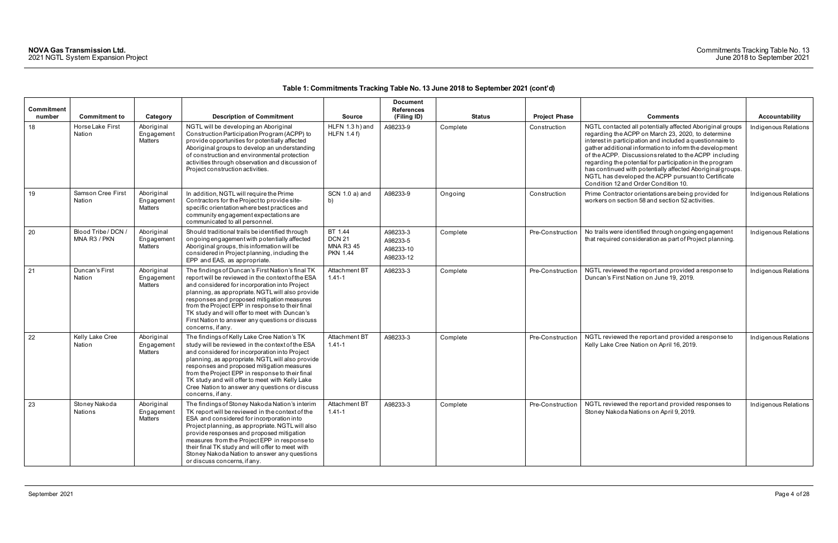| Commitment<br>number | <b>Commitment to</b>                | Category                                   | <b>Description of Commitment</b>                                                                                                                                                                                                                                                                                                                                                                                                     | <b>Source</b>                                                   | <b>Document</b><br><b>References</b><br>(Filing ID) | <b>Status</b> | <b>Project Phase</b> | <b>Comments</b>                                                                                                                                                                                                                                                                                                                                                                                                                                                                                                            | Accountability       |
|----------------------|-------------------------------------|--------------------------------------------|--------------------------------------------------------------------------------------------------------------------------------------------------------------------------------------------------------------------------------------------------------------------------------------------------------------------------------------------------------------------------------------------------------------------------------------|-----------------------------------------------------------------|-----------------------------------------------------|---------------|----------------------|----------------------------------------------------------------------------------------------------------------------------------------------------------------------------------------------------------------------------------------------------------------------------------------------------------------------------------------------------------------------------------------------------------------------------------------------------------------------------------------------------------------------------|----------------------|
| 18                   | Horse Lake First<br>Nation          | Aboriginal<br>Engagement<br>Matters        | NGTL will be developing an Aboriginal<br>Construction Participation Program (ACPP) to<br>provide opportunities for potentially affected<br>Aboriginal groups to develop an understanding<br>of construction and environmental protection<br>activities through observation and discussion of<br>Project construction activities.                                                                                                     | HLFN 1.3 h) and<br><b>HLFN 1.4 f)</b>                           | A98233-9                                            | Complete      | Construction         | NGTL contacted all potentially affected Aboriginal groups<br>regarding the ACPP on March 23, 2020, to determine<br>interest in participation and included a questionnaire to<br>gather additional information to inform the development<br>of the ACPP. Discussions related to the ACPP including<br>regarding the potential for participation in the program<br>has continued with potentially affected Aboriginal groups.<br>NGTL has developed the ACPP pursuant to Certificate<br>Condition 12 and Order Condition 10. | Indigenous Relations |
| 19                   | Samson Cree First<br>Nation         | Aboriginal<br>Engagement<br>Matters        | In addition, NGTL will require the Prime<br>Contractors for the Project to provide site-<br>specific orientation where best practices and<br>community engagement expectations are<br>communicated to all personnel.                                                                                                                                                                                                                 | SCN 1.0 a) and<br>b)                                            | A98233-9                                            | Ongoing       | Construction         | Prime Contractor orientations are being provided for<br>workers on section 58 and section 52 activities.                                                                                                                                                                                                                                                                                                                                                                                                                   | Indigenous Relations |
| 20                   | Blood Tribe / DCN /<br>MNA R3 / PKN | Aboriginal<br>Engagement<br>Matters        | Should traditional trails be identified through<br>ongoing engagement with potentially affected<br>Aboriginal groups, this information will be<br>considered in Project planning, including the<br>EPP and EAS, as appropriate.                                                                                                                                                                                                      | BT 1.44<br><b>DCN 21</b><br><b>MNA R3 45</b><br><b>PKN 1.44</b> | A98233-3<br>A98233-5<br>A98233-10<br>A98233-12      | Complete      | Pre-Construction     | No trails were identified through ongoing engagement<br>that required consideration as part of Project planning.                                                                                                                                                                                                                                                                                                                                                                                                           | Indigenous Relations |
| 21                   | Duncan's First<br>Nation            | Aboriginal<br>Engagement<br>Matters        | The findings of Duncan's First Nation's final TK<br>report will be reviewed in the context of the ESA<br>and considered for incorporation into Project<br>planning, as appropriate. NGTL will also provide<br>responses and proposed mitigation measures<br>from the Project EPP in response to their final<br>TK study and will offer to meet with Duncan's<br>First Nation to answer any questions or discuss<br>concerns, if any. | Attachment BT<br>$1.41 - 1$                                     | A98233-3                                            | Complete      | Pre-Construction     | NGTL reviewed the report and provided a response to<br>Duncan's First Nation on June 19, 2019.                                                                                                                                                                                                                                                                                                                                                                                                                             | Indigenous Relations |
| 22                   | Kelly Lake Cree<br>Nation           | Aboriginal<br>Engagement<br>Matters        | The findings of Kelly Lake Cree Nation's TK<br>study will be reviewed in the context of the ESA<br>and considered for incorporation into Project<br>planning, as appropriate. NGTL will also provide<br>responses and proposed mitigation measures<br>from the Project EPP in response to their final<br>TK study and will offer to meet with Kelly Lake<br>Cree Nation to answer any questions or discuss<br>concerns, if any.      | Attachment BT<br>$1.41 - 1$                                     | A98233-3                                            | Complete      | Pre-Construction     | NGTL reviewed the report and provided a response to<br>Kelly Lake Cree Nation on April 16, 2019.                                                                                                                                                                                                                                                                                                                                                                                                                           | Indigenous Relations |
| 23                   | Stoney Nakoda<br>Nations            | Aboriginal<br>Engagement<br><b>Matters</b> | The findings of Stoney Nakoda Nation's interim<br>TK report will be reviewed in the context of the<br>ESA and considered for incorporation into<br>Project planning, as appropriate. NGTL will also<br>provide responses and proposed mitigation<br>measures from the Project EPP in response to<br>their final TK study and will offer to meet with<br>Stoney Nakoda Nation to answer any questions<br>or discuss concerns, if any. | Attachment BT<br>$1.41 - 1$                                     | A98233-3                                            | Complete      | Pre-Construction     | NGTL reviewed the report and provided responses to<br>Stoney Nakoda Nations on April 9, 2019.                                                                                                                                                                                                                                                                                                                                                                                                                              | Indigenous Relations |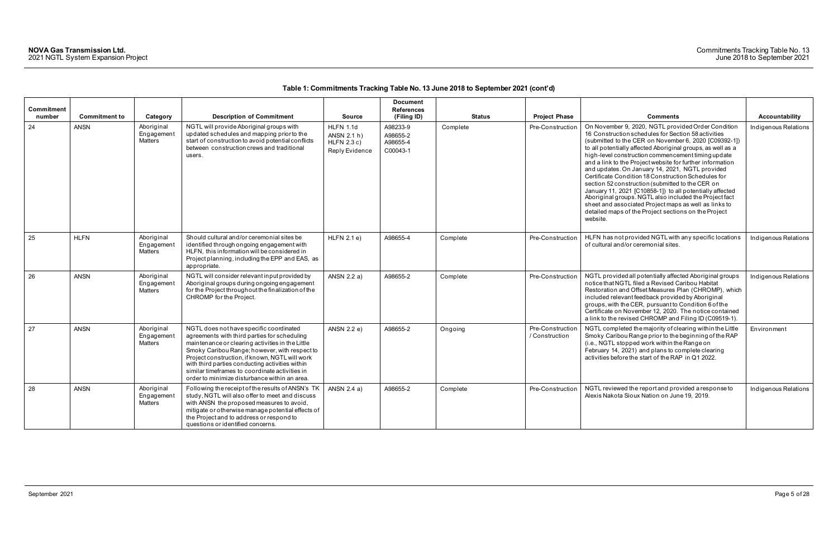| <b>Commitment</b><br>number | <b>Commitment to</b> | Category                            | <b>Description of Commitment</b>                                                                                                                                                                                                                                                                                                                                                                     | <b>Source</b>                                               | <b>Document</b><br><b>References</b><br>(Filing ID) | <b>Status</b> | <b>Project Phase</b>               | <b>Comments</b>                                                                                                                                                                                                                                                                                                                                                                                                                                                                                                                                                                                                                                                                                                                                                       | Accountability       |
|-----------------------------|----------------------|-------------------------------------|------------------------------------------------------------------------------------------------------------------------------------------------------------------------------------------------------------------------------------------------------------------------------------------------------------------------------------------------------------------------------------------------------|-------------------------------------------------------------|-----------------------------------------------------|---------------|------------------------------------|-----------------------------------------------------------------------------------------------------------------------------------------------------------------------------------------------------------------------------------------------------------------------------------------------------------------------------------------------------------------------------------------------------------------------------------------------------------------------------------------------------------------------------------------------------------------------------------------------------------------------------------------------------------------------------------------------------------------------------------------------------------------------|----------------------|
| 24                          | <b>ANSN</b>          | Aboriginal<br>Engagement<br>Matters | NGTL will provide Aboriginal groups with<br>updated schedules and mapping prior to the<br>start of construction to avoid potential conflicts<br>between construction crews and traditional<br>users.                                                                                                                                                                                                 | HLFN 1.1d<br>ANSN 2.1 h)<br>$HLFN$ 2.3 c)<br>Reply Evidence | A98233-9<br>A98655-2<br>A98655-4<br>C00043-1        | Complete      | Pre-Construction                   | On November 9, 2020, NGTL provided Order Condition<br>16 Construction schedules for Section 58 activities<br>(submitted to the CER on November 6, 2020 [C09392-1])<br>to all potentially affected Aboriginal groups, as well as a<br>high-level construction commencement timing update<br>and a link to the Project website for further information<br>and updates. On January 14, 2021, NGTL provided<br>Certificate Condition 18 Construction Schedules for<br>section 52 construction (submitted to the CER on<br>January 11, 2021 [C10858-1]) to all potentially affected<br>Aboriginal groups. NGTL also included the Project fact<br>sheet and associated Project maps as well as links to<br>detailed maps of the Project sections on the Project<br>website. | Indigenous Relations |
| 25                          | <b>HLFN</b>          | Aboriginal<br>Engagement<br>Matters | Should cultural and/or ceremonial sites be<br>identified through ongoing engagement with<br>HLFN, this information will be considered in<br>Project planning, including the EPP and EAS, as<br>appropriate.                                                                                                                                                                                          | $HLFN$ 2.1 e)                                               | A98655-4                                            | Complete      | Pre-Construction                   | HLFN has not provided NGTL with any specific locations<br>of cultural and/or ceremonial sites.                                                                                                                                                                                                                                                                                                                                                                                                                                                                                                                                                                                                                                                                        | Indigenous Relations |
| 26                          | <b>ANSN</b>          | Aboriginal<br>Engagement<br>Matters | NGTL will consider relevant input provided by<br>Aboriginal groups during ongoing engagement<br>for the Project throughout the finalization of the<br>CHROMP for the Project.                                                                                                                                                                                                                        | ANSN 2.2 a)                                                 | A98655-2                                            | Complete      | Pre-Construction                   | NGTL provided all potentially affected Aboriginal groups<br>notice that NGTL filed a Revised Caribou Habitat<br>Restoration and Offset Measures Plan (CHROMP), which<br>included relevant feedback provided by Aboriginal<br>groups, with the CER, pursuant to Condition 6 of the<br>Certificate on November 12, 2020. The notice contained<br>a link to the revised CHROMP and Filing ID (C09519-1).                                                                                                                                                                                                                                                                                                                                                                 | Indigenous Relations |
| 27                          | <b>ANSN</b>          | Aboriginal<br>Engagement<br>Matters | NGTL does not have specific coordinated<br>agreements with third parties for scheduling<br>maintenance or clearing activities in the Little<br>Smoky Caribou Range; however, with respect to<br>Project construction, if known, NGTL will work<br>with third parties conducting activities within<br>similar timeframes to coordinate activities in<br>order to minimize disturbance within an area. | ANSN 2.2 e)                                                 | A98655-2                                            | Ongoing       | Pre-Construction<br>/ Construction | NGTL completed the majority of clearing within the Little<br>Smoky Caribou Range prior to the beginning of the RAP<br>(i.e., NGTL stopped work within the Range on<br>February 14, 2021) and plans to complete clearing<br>activities before the start of the RAP in Q1 2022.                                                                                                                                                                                                                                                                                                                                                                                                                                                                                         | Environment          |
| 28                          | <b>ANSN</b>          | Aboriginal<br>Engagement<br>Matters | Following the receipt of the results of ANSN's TK<br>study, NGTL will also offer to meet and discuss<br>with ANSN the proposed measures to avoid,<br>mitigate or otherwise manage potential effects of<br>the Project and to address or respond to<br>questions or identified concerns.                                                                                                              | ANSN 2.4 a)                                                 | A98655-2                                            | Complete      | Pre-Construction                   | NGTL reviewed the report and provided a response to<br>Alexis Nakota Sioux Nation on June 19, 2019.                                                                                                                                                                                                                                                                                                                                                                                                                                                                                                                                                                                                                                                                   | Indigenous Relations |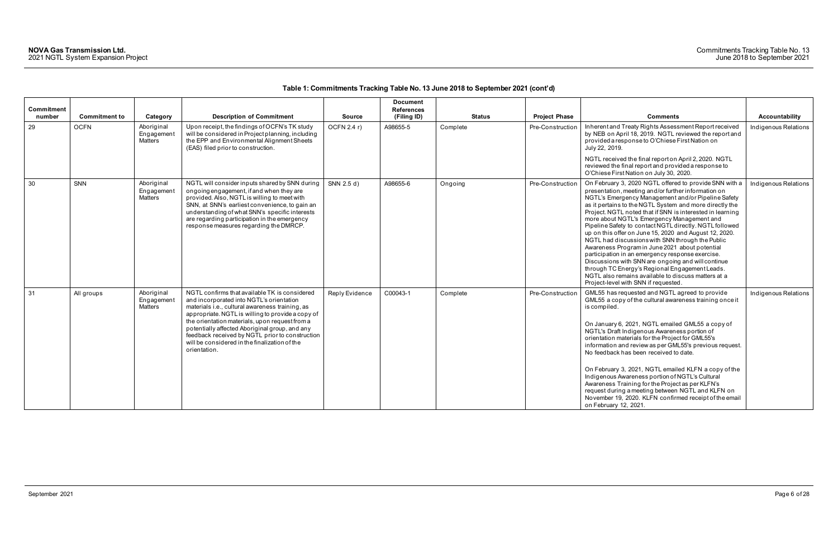| Commitment<br>number | <b>Commitment to</b> | Category                            | <b>Description of Commitment</b>                                                                                                                                                                                                                                                                                                                                                                                          | <b>Source</b>  | <b>Document</b><br><b>References</b><br>(Filing ID) | Status   | <b>Project Phase</b> | <b>Comments</b>                                                                                                                                                                                                                                                                                                                                                                                                                                                                                                                                                                                                                                                                                                                                                                                                                 | Accountability       |
|----------------------|----------------------|-------------------------------------|---------------------------------------------------------------------------------------------------------------------------------------------------------------------------------------------------------------------------------------------------------------------------------------------------------------------------------------------------------------------------------------------------------------------------|----------------|-----------------------------------------------------|----------|----------------------|---------------------------------------------------------------------------------------------------------------------------------------------------------------------------------------------------------------------------------------------------------------------------------------------------------------------------------------------------------------------------------------------------------------------------------------------------------------------------------------------------------------------------------------------------------------------------------------------------------------------------------------------------------------------------------------------------------------------------------------------------------------------------------------------------------------------------------|----------------------|
| 29                   | <b>OCFN</b>          | Aboriginal<br>Engagement<br>Matters | Upon receipt, the findings of OCFN's TK study<br>will be considered in Project planning, including<br>the EPP and Environmental Alignment Sheets<br>(EAS) filed prior to construction.                                                                                                                                                                                                                                    | OCFN 2.4 r)    | A98655-5                                            | Complete | Pre-Construction     | Inherent and Treaty Rights Assessment Report received<br>by NEB on April 18, 2019. NGTL reviewed the report and<br>provided a response to O'Chiese First Nation on<br>July 22, 2019.                                                                                                                                                                                                                                                                                                                                                                                                                                                                                                                                                                                                                                            | Indigenous Relations |
|                      |                      |                                     |                                                                                                                                                                                                                                                                                                                                                                                                                           |                |                                                     |          |                      | NGTL received the final report on April 2, 2020. NGTL<br>reviewed the final report and provided a response to<br>O'Chiese First Nation on July 30, 2020.                                                                                                                                                                                                                                                                                                                                                                                                                                                                                                                                                                                                                                                                        |                      |
| 30                   | SNN                  | Aboriginal<br>Engagement<br>Matters | NGTL will consider inputs shared by SNN during<br>ongoing engagement, if and when they are<br>provided. Also, NGTL is willing to meet with<br>SNN, at SNN's earliest convenience, to gain an<br>understanding of what SNN's specific interests<br>are regarding participation in the emergency<br>response measures regarding the DMRCP.                                                                                  | SNN 2.5 d)     | A98655-6                                            | Ongoing  | Pre-Construction     | On February 3, 2020 NGTL offered to provide SNN with a<br>presentation, meeting and/or further information on<br>NGTL's Emergency Management and/or Pipeline Safety<br>as it pertains to the NGTL System and more directly the<br>Project. NGTL noted that if SNN is interested in learning<br>more about NGTL's Emergency Management and<br>Pipeline Safety to contact NGTL directly. NGTL followed<br>up on this offer on June 15, 2020 and August 12, 2020.<br>NGTL had discussions with SNN through the Public<br>Awareness Program in June 2021 about potential<br>participation in an emergency response exercise.<br>Discussions with SNN are ongoing and will continue<br>through TC Energy's Regional Engagement Leads.<br>NGTL also remains available to discuss matters at a<br>Project-level with SNN if requested. | Indigenous Relations |
| 31                   | All groups           | Aboriginal<br>Engagement<br>Matters | NGTL confirms that available TK is considered<br>and incorporated into NGTL's orientation<br>materials i.e., cultural awareness training, as<br>appropriate. NGTL is willing to provide a copy of<br>the orientation materials, upon request from a<br>potentially affected Aboriginal group, and any<br>feedback received by NGTL prior to construction<br>will be considered in the finalization of the<br>orientation. | Reply Evidence | C00043-1                                            | Complete | Pre-Construction     | GML55 has requested and NGTL agreed to provide<br>GML55 a copy of the cultural awareness training once it<br>is compiled.<br>On January 6, 2021, NGTL emailed GML55 a copy of<br>NGTL's Draft Indigenous Awareness portion of<br>orientation materials for the Project for GML55's<br>information and review as per GML55's previous request.<br>No feedback has been received to date.<br>On February 3, 2021, NGTL emailed KLFN a copy of the<br>Indigenous Awareness portion of NGTL's Cultural<br>Awareness Training for the Project as per KLFN's<br>request during a meeting between NGTL and KLFN on<br>November 19, 2020. KLFN confirmed receipt of the email<br>on February 12, 2021.                                                                                                                                  | Indigenous Relations |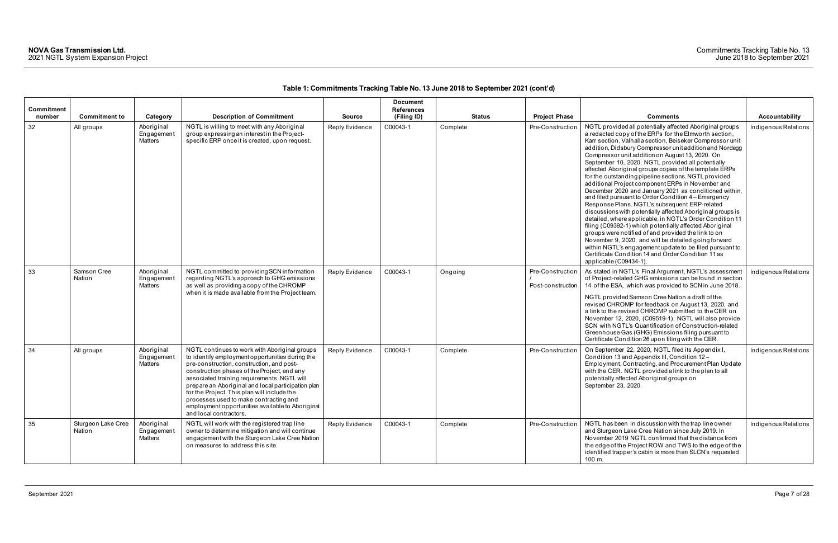| Commitment<br>number | <b>Commitment to</b>         | Category                            | <b>Description of Commitment</b>                                                                                                                                                                                                                                                                                                                                                                                                                                         | <b>Source</b>  | <b>Document</b><br><b>References</b><br>(Filing ID) | <b>Status</b> | <b>Project Phase</b>                  | <b>Comments</b>                                                                                                                                                                                                                                                                                                                                                                                                                                                                                                                                                                                                                                                                                                                                                                                                                                                                                                                                                                                                                                                                                                                         | <b>Accountability</b> |
|----------------------|------------------------------|-------------------------------------|--------------------------------------------------------------------------------------------------------------------------------------------------------------------------------------------------------------------------------------------------------------------------------------------------------------------------------------------------------------------------------------------------------------------------------------------------------------------------|----------------|-----------------------------------------------------|---------------|---------------------------------------|-----------------------------------------------------------------------------------------------------------------------------------------------------------------------------------------------------------------------------------------------------------------------------------------------------------------------------------------------------------------------------------------------------------------------------------------------------------------------------------------------------------------------------------------------------------------------------------------------------------------------------------------------------------------------------------------------------------------------------------------------------------------------------------------------------------------------------------------------------------------------------------------------------------------------------------------------------------------------------------------------------------------------------------------------------------------------------------------------------------------------------------------|-----------------------|
| 32                   | All groups                   | Aboriginal<br>Engagement<br>Matters | NGTL is willing to meet with any Aboriginal<br>group expressing an interest in the Project-<br>specific ERP once it is created, upon request.                                                                                                                                                                                                                                                                                                                            | Reply Evidence | C00043-1                                            | Complete      | Pre-Construction                      | NGTL provided all potentially affected Aboriginal groups<br>a redacted copy of the ERPs for the Elmworth section,<br>Karr section, Valhalla section, Beiseker Compressor unit<br>addition, Didsbury Compressor unit addition and Nordegg<br>Compressor unit addition on August 13, 2020. On<br>September 10, 2020, NGTL provided all potentially<br>affected Aboriginal groups copies of the template ERPs<br>for the outstanding pipeline sections. NGTL provided<br>additional Project component ERPs in November and<br>December 2020 and January 2021 as conditioned within,<br>and filed pursuant to Order Condition 4 – Emergency<br>Response Plans. NGTL's subsequent ERP-related<br>discussions with potentially affected Aboriginal groups is<br>detailed, where applicable, in NGTL's Order Condition 11<br>filing (C09392-1) which potentially affected Aboriginal<br>groups were notified of and provided the link to on<br>November 9, 2020, and will be detailed going forward<br>within NGTL's engagement update to be filed pursuant to<br>Certificate Condition 14 and Order Condition 11 as<br>applicable (C09434-1). | Indigenous Relations  |
| 33                   | Samson Cree<br>Nation        | Aboriginal<br>Engagement<br>Matters | NGTL committed to providing SCN information<br>regarding NGTL's approach to GHG emissions<br>as well as providing a copy of the CHROMP<br>when it is made available from the Project team.                                                                                                                                                                                                                                                                               | Reply Evidence | C00043-1                                            | Ongoing       | Pre-Construction<br>Post-construction | As stated in NGTL's Final Argument, NGTL's assessment<br>of Project-related GHG emissions can be found in section<br>14 of the ESA, which was provided to SCN in June 2018.<br>NGTL provided Samson Cree Nation a draft of the<br>revised CHROMP for feedback on August 13, 2020, and<br>a link to the revised CHROMP submitted to the CER on<br>November 12, 2020, (C09519-1). NGTL will also provide<br>SCN with NGTL's Quantification of Construction-related<br>Greenhouse Gas (GHG) Emissions filing pursuant to<br>Certificate Condition 26 upon filing with the CER.                                                                                                                                                                                                                                                                                                                                                                                                                                                                                                                                                             | Indigenous Relations  |
| 34                   | All groups                   | Aboriginal<br>Engagement<br>Matters | NGTL continues to work with Aboriginal groups<br>to identify employment opportunities during the<br>pre-construction, construction, and post-<br>construction phases of the Project, and any<br>associated training requirements. NGTL will<br>prepare an Aboriginal and local participation plan<br>for the Project. This plan will include the<br>processes used to make contracting and<br>employment opportunities available to Aboriginal<br>and local contractors. | Reply Evidence | C00043-1                                            | Complete      | Pre-Construction                      | On September 22, 2020, NGTL filed its Appendix I,<br>Condition 13 and Appendix III, Condition 12-<br>Employment, Contracting, and Procurement Plan Update<br>with the CER. NGTL provided a link to the plan to all<br>potentially affected Aboriginal groups on<br>September 23, 2020.                                                                                                                                                                                                                                                                                                                                                                                                                                                                                                                                                                                                                                                                                                                                                                                                                                                  | Indigenous Relations  |
| 35                   | Sturgeon Lake Cree<br>Nation | Aboriginal<br>Engagement<br>Matters | NGTL will work with the registered trap line<br>owner to determine mitigation and will continue<br>engagement with the Sturgeon Lake Cree Nation<br>on measures to address this site.                                                                                                                                                                                                                                                                                    | Reply Evidence | C00043-1                                            | Complete      | Pre-Construction                      | NGTL has been in discussion with the trap line owner<br>and Sturgeon Lake Cree Nation since July 2019. In<br>November 2019 NGTL confirmed that the distance from<br>the edge of the Project ROW and TWS to the edge of the<br>identified trapper's cabin is more than SLCN's requested<br>100 m.                                                                                                                                                                                                                                                                                                                                                                                                                                                                                                                                                                                                                                                                                                                                                                                                                                        | Indigenous Relations  |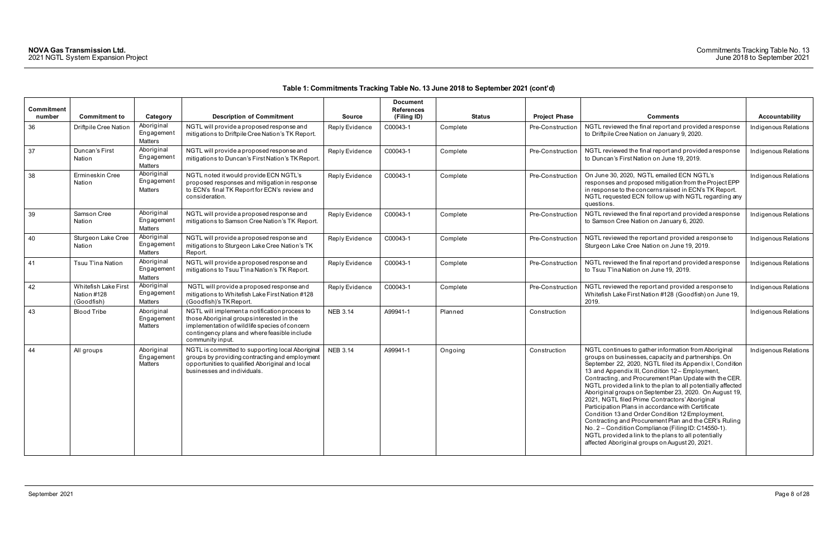| Commitment<br>number | <b>Commitment to</b>                                     | Category                                   | <b>Description of Commitment</b>                                                                                                                                                                                | <b>Source</b>   | <b>Document</b><br><b>References</b><br>(Filing ID) | <b>Status</b> | <b>Project Phase</b> | <b>Comments</b>                                                                                                                                                                                                                                                                                                                                                                                                                                                                                                                                                                                                                                                                                                                                                                                     | Accountability       |
|----------------------|----------------------------------------------------------|--------------------------------------------|-----------------------------------------------------------------------------------------------------------------------------------------------------------------------------------------------------------------|-----------------|-----------------------------------------------------|---------------|----------------------|-----------------------------------------------------------------------------------------------------------------------------------------------------------------------------------------------------------------------------------------------------------------------------------------------------------------------------------------------------------------------------------------------------------------------------------------------------------------------------------------------------------------------------------------------------------------------------------------------------------------------------------------------------------------------------------------------------------------------------------------------------------------------------------------------------|----------------------|
| 36                   | Driftpile Cree Nation                                    | Aboriginal<br>Engagement<br><b>Matters</b> | NGTL will provide a proposed response and<br>mitigations to Driftpile Cree Nation's TK Report.                                                                                                                  | Reply Evidence  | C00043-1                                            | Complete      | Pre-Construction     | NGTL reviewed the final report and provided a response<br>to Driftpile Cree Nation on January 9, 2020.                                                                                                                                                                                                                                                                                                                                                                                                                                                                                                                                                                                                                                                                                              | Indigenous Relations |
| 37                   | Duncan's First<br>Nation                                 | Aboriginal<br>Engagement<br><b>Matters</b> | NGTL will provide a proposed response and<br>mitigations to Duncan's First Nation's TK Report.                                                                                                                  | Reply Evidence  | C00043-1                                            | Complete      | Pre-Construction     | NGTL reviewed the final report and provided a response<br>to Duncan's First Nation on June 19, 2019.                                                                                                                                                                                                                                                                                                                                                                                                                                                                                                                                                                                                                                                                                                | Indigenous Relations |
| 38                   | Ermineskin Cree<br>Nation                                | Aboriginal<br>Engagement<br>Matters        | NGTL noted it would provide ECN NGTL's<br>proposed responses and mitigation in response<br>to ECN's final TK Report for ECN's review and<br>consideration.                                                      | Reply Evidence  | C00043-1                                            | Complete      | Pre-Construction     | On June 30, 2020, NGTL emailed ECN NGTL's<br>responses and proposed mitigation from the Project EPP<br>in response to the concerns raised in ECN's TK Report.<br>NGTL requested ECN follow up with NGTL regarding any<br>questions.                                                                                                                                                                                                                                                                                                                                                                                                                                                                                                                                                                 | Indigenous Relations |
| 39                   | Samson Cree<br>Nation                                    | Aboriginal<br>Engagement<br><b>Matters</b> | NGTL will provide a proposed response and<br>mitigations to Samson Cree Nation's TK Report.                                                                                                                     | Reply Evidence  | C00043-1                                            | Complete      | Pre-Construction     | NGTL reviewed the final report and provided a response<br>to Samson Cree Nation on January 6, 2020.                                                                                                                                                                                                                                                                                                                                                                                                                                                                                                                                                                                                                                                                                                 | Indigenous Relations |
| 40                   | Sturgeon Lake Cree<br>Nation                             | Aboriginal<br>Engagement<br>Matters        | NGTL will provide a proposed response and<br>mitigations to Sturgeon Lake Cree Nation's TK<br>Report.                                                                                                           | Reply Evidence  | C00043-1                                            | Complete      | Pre-Construction     | NGTL reviewed the report and provided a response to<br>Sturgeon Lake Cree Nation on June 19, 2019.                                                                                                                                                                                                                                                                                                                                                                                                                                                                                                                                                                                                                                                                                                  | Indigenous Relations |
| 41                   | Tsuu T'ina Nation                                        | Aboriginal<br>Engagement<br><b>Matters</b> | NGTL will provide a proposed response and<br>mitigations to Tsuu T'ina Nation's TK Report.                                                                                                                      | Reply Evidence  | C00043-1                                            | Complete      | Pre-Constructior     | NGTL reviewed the final report and provided a response<br>to Tsuu T'ina Nation on June 19, 2019.                                                                                                                                                                                                                                                                                                                                                                                                                                                                                                                                                                                                                                                                                                    | Indigenous Relations |
| 42                   | <b>Whitefish Lake First</b><br>Nation #128<br>(Goodfish) | Aboriginal<br>Engagement<br>Matters        | NGTL will provide a proposed response and<br>mitigations to Whitefish Lake First Nation #128<br>(Goodfish)'s TK Report.                                                                                         | Reply Evidence  | C00043-1                                            | Complete      | Pre-Construction     | NGTL reviewed the report and provided a response to<br>Whitefish Lake First Nation #128 (Goodfish) on June 19,<br>2019.                                                                                                                                                                                                                                                                                                                                                                                                                                                                                                                                                                                                                                                                             | Indigenous Relations |
| 43                   | <b>Blood Tribe</b>                                       | Aboriginal<br>Engagement<br>Matters        | NGTL will implement a notification process to<br>those Aboriginal groups interested in the<br>implementation of wildlife species of concern<br>contingency plans and where feasible include<br>community input. | <b>NEB 3.14</b> | A99941-1                                            | Planned       | Construction         |                                                                                                                                                                                                                                                                                                                                                                                                                                                                                                                                                                                                                                                                                                                                                                                                     | Indigenous Relations |
| 44                   | All groups                                               | Aboriginal<br>Engagement<br>Matters        | NGTL is committed to supporting local Aboriginal<br>groups by providing contracting and employment<br>opportunities to qualified Aboriginal and local<br>businesses and individuals.                            | <b>NEB 3.14</b> | A99941-1                                            | Ongoing       | Construction         | NGTL continues to gather information from Aboriginal<br>groups on businesses, capacity and partnerships. On<br>September 22, 2020, NGTL filed its Appendix I, Condition<br>13 and Appendix III, Condition 12 - Employment,<br>Contracting, and Procurement Plan Update with the CER.<br>NGTL provided a link to the plan to all potentially affected<br>Aboriginal groups on September 23, 2020. On August 19,<br>2021, NGTL filed Prime Contractors' Aboriginal<br>Participation Plans in accordance with Certificate<br>Condition 13 and Order Condition 12 Employment,<br>Contracting and Procurement Plan and the CER's Ruling<br>No. 2 – Condition Compliance (Filing ID: C14550-1).<br>NGTL provided a link to the plans to all potentially<br>affected Aboriginal groups on August 20, 2021. | Indigenous Relations |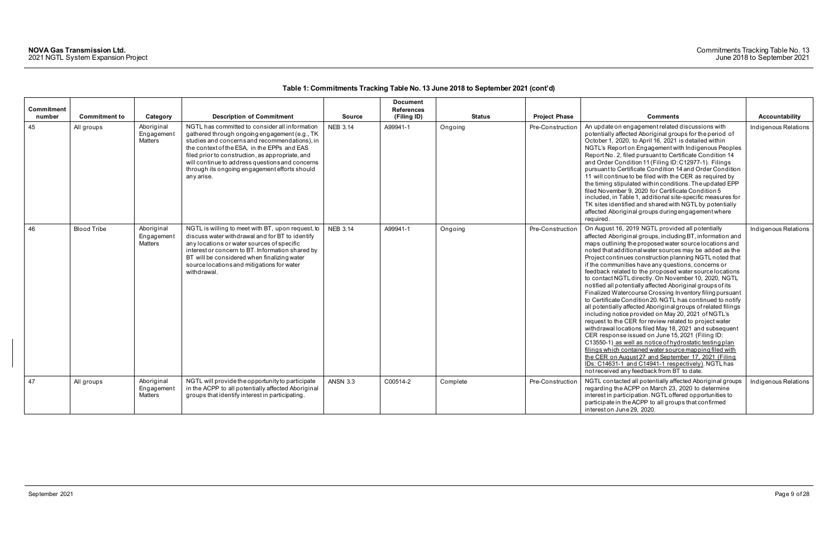| Commitment<br>number | <b>Commitment to</b> | Category                                   | <b>Description of Commitment</b>                                                                                                                                                                                                                                                                                                                                      | <b>Source</b>   | <b>Document</b><br><b>References</b><br>(Filing ID) | <b>Status</b> | <b>Project Phase</b> | <b>Comments</b>                                                                                                                                                                                                                                                                                                                                                                                                                                                                                                                                                                                                                                                                                                                                                                                                                                                                                                                                                                                                                                                                                                                                                                                                                                | <b>Accountability</b> |
|----------------------|----------------------|--------------------------------------------|-----------------------------------------------------------------------------------------------------------------------------------------------------------------------------------------------------------------------------------------------------------------------------------------------------------------------------------------------------------------------|-----------------|-----------------------------------------------------|---------------|----------------------|------------------------------------------------------------------------------------------------------------------------------------------------------------------------------------------------------------------------------------------------------------------------------------------------------------------------------------------------------------------------------------------------------------------------------------------------------------------------------------------------------------------------------------------------------------------------------------------------------------------------------------------------------------------------------------------------------------------------------------------------------------------------------------------------------------------------------------------------------------------------------------------------------------------------------------------------------------------------------------------------------------------------------------------------------------------------------------------------------------------------------------------------------------------------------------------------------------------------------------------------|-----------------------|
| 45                   | All groups           | Aboriginal<br>Engagement<br>Matters        | NGTL has committed to consider all information<br>gathered through ongoing engagement (e.g., TK<br>studies and concerns and recommendations), in<br>the context of the ESA, in the EPPs and EAS<br>filed prior to construction, as appropriate, and<br>will continue to address questions and concerns<br>through its ongoing engagement efforts should<br>any arise. | <b>NEB 3.14</b> | A99941-1                                            | Ongoing       | Pre-Construction     | An update on engagement related discussions with<br>potentially affected Aboriginal groups for the period of<br>October 1, 2020, to April 16, 2021 is detailed within<br>NGTL's Report on Engagement with Indigenous Peoples<br>Report No. 2, filed pursuant to Certificate Condition 14<br>and Order Condition 11 (Filing ID: C12977-1). Filings<br>pursuant to Certificate Condition 14 and Order Condition<br>11 will continue to be filed with the CER as required by<br>the timing stipulated within conditions. The updated EPP<br>filed November 9, 2020 for Certificate Condition 5<br>included, in Table 1, additional site-specific measures for<br>TK sites identified and shared with NGTL by potentially<br>affected Aboriginal groups during engagement where<br>required.                                                                                                                                                                                                                                                                                                                                                                                                                                                       | Indigenous Relations  |
| 46                   | <b>Blood Tribe</b>   | Aboriginal<br>Engagement<br><b>Matters</b> | NGTL is willing to meet with BT, upon request, to<br>discuss water withdrawal and for BT to identify<br>any locations or water sources of specific<br>interest or concern to BT. Information shared by<br>BT will be considered when finalizing water<br>source locations and mitigations for water<br>withdrawal.                                                    | <b>NEB 3.14</b> | A99941-1                                            | Ongoing       | Pre-Construction     | On August 16, 2019 NGTL provided all potentially<br>affected Aboriginal groups, including BT, information and<br>maps outlining the proposed water source locations and<br>noted that additional water sources may be added as the<br>Project continues construction planning NGTL noted that<br>if the communities have any questions, concerns or<br>feedback related to the proposed water source locations<br>to contact NGTL directly. On November 10, 2020, NGTL<br>notified all potentially affected Aboriginal groups of its<br>Finalized Watercourse Crossing Inventory filing pursuant<br>to Certificate Condition 20. NGTL has continued to notify<br>all potentially affected Aboriginal groups of related filings<br>including notice provided on May 20, 2021 of NGTL's<br>request to the CER for review related to project water<br>withdrawal locations filed May 18, 2021 and subsequent<br>CER response issued on June 15, 2021 (Filing ID:<br>C13550-1) as well as notice of hydrostatic testing plan<br>filings which contained water source mapping filed with<br>the CER on August 27 and September 17, 2021 (Filing<br>IDs: C14631-1 and C14941-1 respectively). NGTL has<br>not received any feedback from BT to date. | Indigenous Relations  |
| 47                   | All groups           | Aboriginal<br>Engagement<br>Matters        | NGTL will provide the opportunity to participate<br>in the ACPP to all potentially affected Aboriginal<br>groups that identify interest in participating.                                                                                                                                                                                                             | <b>ANSN 3.3</b> | C00514-2                                            | Complete      | Pre-Construction     | NGTL contacted all potentially affected Aboriginal groups<br>regarding the ACPP on March 23, 2020 to determine<br>interest in participation. NGTL offered opportunities to<br>participate in the ACPP to all groups that confirmed<br>interest on June 29, 2020.                                                                                                                                                                                                                                                                                                                                                                                                                                                                                                                                                                                                                                                                                                                                                                                                                                                                                                                                                                               | Indigenous Relations  |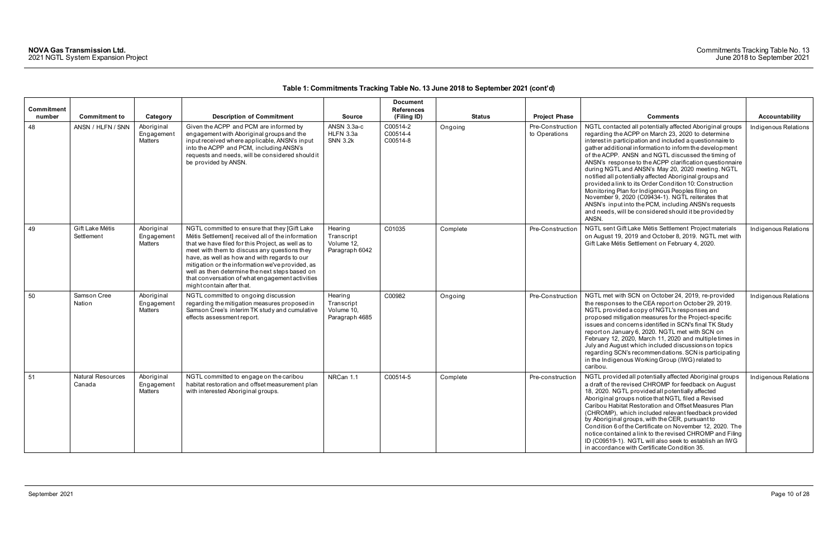| <b>Commitment</b><br>number | <b>Commitment to</b>               | Category                                   | <b>Description of Commitment</b>                                                                                                                                                                                                                                                                                                                                                                                                               | <b>Source</b>                                         | <b>Document</b><br><b>References</b><br>(Filing ID) | <b>Status</b> | <b>Project Phase</b>             | <b>Comments</b>                                                                                                                                                                                                                                                                                                                                                                                                                                                                                                                                                                                                                                                                                                                                                        | Accountability       |
|-----------------------------|------------------------------------|--------------------------------------------|------------------------------------------------------------------------------------------------------------------------------------------------------------------------------------------------------------------------------------------------------------------------------------------------------------------------------------------------------------------------------------------------------------------------------------------------|-------------------------------------------------------|-----------------------------------------------------|---------------|----------------------------------|------------------------------------------------------------------------------------------------------------------------------------------------------------------------------------------------------------------------------------------------------------------------------------------------------------------------------------------------------------------------------------------------------------------------------------------------------------------------------------------------------------------------------------------------------------------------------------------------------------------------------------------------------------------------------------------------------------------------------------------------------------------------|----------------------|
| 48                          | ANSN / HLFN / SNN                  | Aboriginal<br>Engagement<br>Matters        | Given the ACPP and PCM are informed by<br>engagement with Aboriginal groups and the<br>input received where applicable, ANSN's input<br>into the ACPP and PCM, including ANSN's<br>requests and needs, will be considered should it<br>be provided by ANSN.                                                                                                                                                                                    | ANSN 3.3a-c<br>HLFN 3.3a<br><b>SNN 3.2k</b>           | C00514-2<br>C00514-4<br>C00514-8                    | Ongoing       | Pre-Constructio<br>to Operations | NGTL contacted all potentially affected Aboriginal groups<br>regarding the ACPP on March 23, 2020 to determine<br>interest in participation and included a questionnaire to<br>gather additional information to inform the development<br>of the ACPP. ANSN and NGTL discussed the timing of<br>ANSN's response to the ACPP clarification questionnaire<br>during NGTL and ANSN's May 20, 2020 meeting. NGTL<br>notified all potentially affected Aboriginal groups and<br>provided a link to its Order Condition 10: Construction<br>Monitoring Plan for Indigenous Peoples filing on<br>November 9, 2020 (C09434-1). NGTL reiterates that<br>ANSN's input into the PCM, including ANSN's requests<br>and needs, will be considered should it be provided by<br>ANSN. | Indigenous Relations |
| 49                          | Gift Lake Métis<br>Settlement      | Aboriginal<br>Engagement<br>Matters        | NGTL committed to ensure that they [Gift Lake<br>Métis Settlement] received all of the information<br>that we have filed for this Project, as well as to<br>meet with them to discuss any questions they<br>have, as well as how and with regards to our<br>mitigation or the information we've provided, as<br>well as then determine the next steps based on<br>that conversation of what engagement activities<br>might contain after that. | Hearing<br>Transcript<br>Volume 12,<br>Paragraph 6042 | C01035                                              | Complete      | Pre-Construction                 | NGTL sent Gift Lake Métis Settlement Project materials<br>on August 19, 2019 and October 8, 2019. NGTL met with<br>Gift Lake Métis Settlement on February 4, 2020.                                                                                                                                                                                                                                                                                                                                                                                                                                                                                                                                                                                                     | Indigenous Relations |
| 50                          | Samson Cree<br>Nation              | Aboriginal<br>Engagement<br><b>Matters</b> | NGTL committed to ongoing discussion<br>regarding the mitigation measures proposed in<br>Samson Cree's interim TK study and cumulative<br>effects assessment report.                                                                                                                                                                                                                                                                           | Hearing<br>Transcript<br>Volume 10.<br>Paragraph 4685 | C00982                                              | Ongoing       | Pre-Construction                 | NGTL met with SCN on October 24, 2019, re-provided<br>the responses to the CEA report on October 29, 2019.<br>NGTL provided a copy of NGTL's responses and<br>proposed mitigation measures for the Project-specific<br>issues and concerns identified in SCN's final TK Study<br>report on January 6, 2020. NGTL met with SCN on<br>February 12, 2020, March 11, 2020 and multiple times in<br>July and August which included discussions on topics<br>regarding SCN's recommendations. SCN is participating<br>in the Indigenous Working Group (IWG) related to<br>caribou.                                                                                                                                                                                           | Indigenous Relations |
| 51                          | <b>Natural Resources</b><br>Canada | Aboriginal<br>Engagement<br><b>Matters</b> | NGTL committed to engage on the caribou<br>habitat restoration and offset measurement plan<br>with interested Aboriginal groups.                                                                                                                                                                                                                                                                                                               | NRCan 1.1                                             | C00514-5                                            | Complete      | Pre-construction                 | NGTL provided all potentially affected Aboriginal groups<br>a draft of the revised CHROMP for feedback on August<br>18, 2020. NGTL provided all potentially affected<br>Aboriginal groups notice that NGTL filed a Revised<br>Caribou Habitat Restoration and Offset Measures Plan<br>(CHROMP), which included relevant feedback provided<br>by Aboriginal groups, with the CER, pursuant to<br>Condition 6 of the Certificate on November 12, 2020. The<br>notice contained a link to the revised CHROMP and Filing<br>ID (C09519-1). NGTL will also seek to establish an IWG<br>in accordance with Certificate Condition 35.                                                                                                                                         | Indigenous Relations |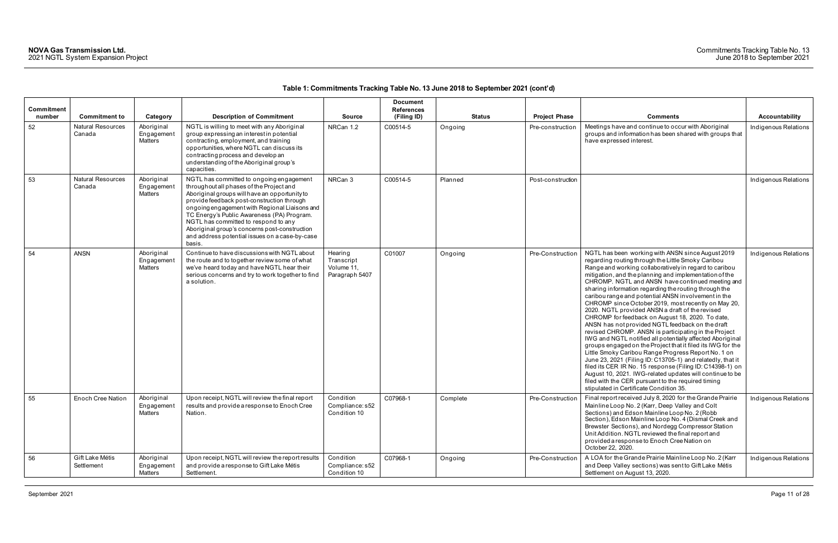| Commitment   |                                                            |                                                 |                                                                                                                                                                                                                                                                                                                                                                                                                                         |                                                       | <b>Document</b><br><b>References</b> |                          |                                          |                                                                                                                                                                                                                                                                                                                                                                                                                                                                                                                                                                                                                                                                                                                                                                                                                                                                                                                                                                                                                                                                                                                                                      |                                        |
|--------------|------------------------------------------------------------|-------------------------------------------------|-----------------------------------------------------------------------------------------------------------------------------------------------------------------------------------------------------------------------------------------------------------------------------------------------------------------------------------------------------------------------------------------------------------------------------------------|-------------------------------------------------------|--------------------------------------|--------------------------|------------------------------------------|------------------------------------------------------------------------------------------------------------------------------------------------------------------------------------------------------------------------------------------------------------------------------------------------------------------------------------------------------------------------------------------------------------------------------------------------------------------------------------------------------------------------------------------------------------------------------------------------------------------------------------------------------------------------------------------------------------------------------------------------------------------------------------------------------------------------------------------------------------------------------------------------------------------------------------------------------------------------------------------------------------------------------------------------------------------------------------------------------------------------------------------------------|----------------------------------------|
| number<br>52 | <b>Commitment to</b><br><b>Natural Resources</b><br>Canada | Category<br>Aboriginal<br>Engagement<br>Matters | <b>Description of Commitment</b><br>NGTL is willing to meet with any Aboriginal<br>group expressing an interest in potential<br>contracting, employment, and training<br>opportunities, where NGTL can discuss its<br>contracting process and develop an<br>understanding of the Aboriginal group's<br>capacities.                                                                                                                      | <b>Source</b><br>NRCan 1.2                            | (Filing ID)<br>C00514-5              | <b>Status</b><br>Ongoing | <b>Project Phase</b><br>Pre-construction | <b>Comments</b><br>Meetings have and continue to occur with Aboriginal<br>groups and information has been shared with groups that<br>have expressed interest.                                                                                                                                                                                                                                                                                                                                                                                                                                                                                                                                                                                                                                                                                                                                                                                                                                                                                                                                                                                        | Accountability<br>Indigenous Relations |
| 53           | <b>Natural Resources</b><br>Canada                         | Aboriginal<br>Engagement<br>Matters             | NGTL has committed to ongoing engagement<br>throughout all phases of the Project and<br>Aboriginal groups will have an opportunity to<br>provide feedback post-construction through<br>ongoing engagement with Regional Liaisons and<br>TC Energy's Public Awareness (PA) Program.<br>NGTL has committed to respond to any<br>Aboriginal group's concerns post-construction<br>and address potential issues on a case-by-case<br>basis. | NRCan 3                                               | C00514-5                             | Planned                  | Post-construction                        |                                                                                                                                                                                                                                                                                                                                                                                                                                                                                                                                                                                                                                                                                                                                                                                                                                                                                                                                                                                                                                                                                                                                                      | Indigenous Relations                   |
| 54           | <b>ANSN</b>                                                | Aboriginal<br>Engagement<br>Matters             | Continue to have discussions with NGTL about<br>the route and to together review some of what<br>we've heard today and have NGTL hear their<br>serious concerns and try to work together to find<br>a solution.                                                                                                                                                                                                                         | Hearing<br>Transcript<br>Volume 11,<br>Paragraph 5407 | C01007                               | Ongoing                  | Pre-Construction                         | NGTL has been working with ANSN since August 2019<br>regarding routing through the Little Smoky Caribou<br>Range and working collaboratively in regard to caribou<br>mitigation, and the planning and implementation of the<br>CHROMP. NGTL and ANSN have continued meeting and<br>sharing information regarding the routing through the<br>caribou range and potential ANSN involvement in the<br>CHROMP since October 2019, most recently on May 20,<br>2020. NGTL provided ANSN a draft of the revised<br>CHROMP for feedback on August 18, 2020. To date,<br>ANSN has not provided NGTL feedback on the draft<br>revised CHROMP. ANSN is participating in the Project<br>IWG and NGTL notified all potentially affected Aboriginal<br>groups engaged on the Project that it filed its IWG for the<br>Little Smoky Caribou Range Progress Report No. 1 on<br>June 23, 2021 (Filing ID: C13705-1) and relatedly, that it<br>filed its CER IR No. 15 response (Filing ID: C14398-1) on<br>August 10, 2021. IWG-related updates will continue to be<br>filed with the CER pursuant to the required timing<br>stipulated in Certificate Condition 35. | Indigenous Relations                   |
| 55           | Enoch Cree Nation                                          | Aboriginal<br>Engagement<br>Matters             | Upon receipt, NGTL will review the final report<br>results and provide a response to Enoch Cree<br>Nation.                                                                                                                                                                                                                                                                                                                              | Condition<br>Compliance: s52<br>Condition 10          | C07968-1                             | Complete                 | Pre-Construction                         | Final report received July 8, 2020 for the Grande Prairie<br>Mainline Loop No. 2 (Karr, Deep Valley and Colt<br>Sections) and Edson Mainline Loop No. 2 (Robb<br>Section), Edson Mainline Loop No. 4 (Dismal Creek and<br>Brewster Sections), and Nordegg Compressor Station<br>Unit Addition. NGTL reviewed the final report and<br>provided a response to Enoch Cree Nation on<br>October 22, 2020.                                                                                                                                                                                                                                                                                                                                                                                                                                                                                                                                                                                                                                                                                                                                                | Indigenous Relations                   |
| 56           | Gift Lake Métis<br>Settlement                              | Aboriginal<br>Engagement<br>Matters             | Upon receipt, NGTL will review the report results<br>and provide a response to Gift Lake Métis<br>Settlement.                                                                                                                                                                                                                                                                                                                           | Condition<br>Compliance: s52<br>Condition 10          | C07968-1                             | Ongoing                  | Pre-Construction                         | A LOA for the Grande Prairie Mainline Loop No. 2 (Karr<br>and Deep Valley sections) was sent to Gift Lake Métis<br>Settlement on August 13, 2020.                                                                                                                                                                                                                                                                                                                                                                                                                                                                                                                                                                                                                                                                                                                                                                                                                                                                                                                                                                                                    | Indigenous Relations                   |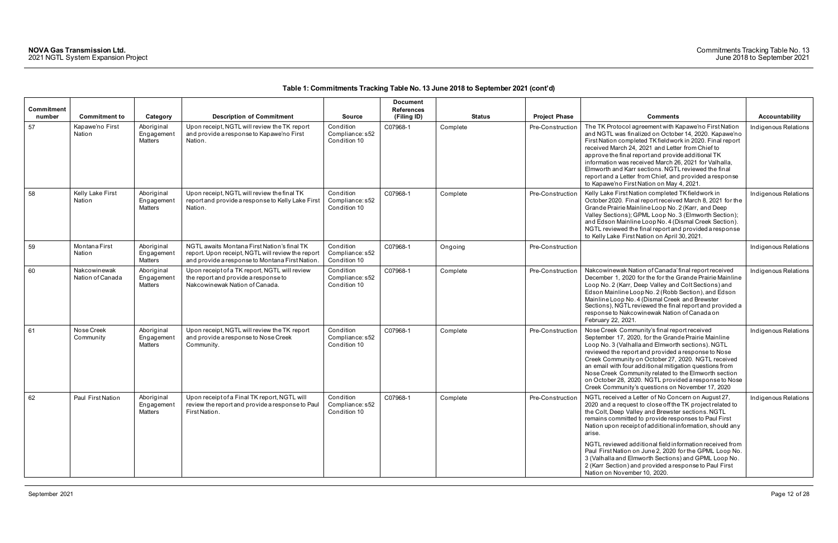| Commitment<br>number | <b>Commitment to</b>             | Category                                   | <b>Description of Commitment</b>                                                                                                                   | <b>Source</b>                                | <b>Document</b><br><b>References</b><br>(Filing ID) | <b>Status</b> | <b>Project Phase</b> | <b>Comments</b>                                                                                                                                                                                                                                                                                                                                                                                                                                                                                                                                                              | Accountability       |
|----------------------|----------------------------------|--------------------------------------------|----------------------------------------------------------------------------------------------------------------------------------------------------|----------------------------------------------|-----------------------------------------------------|---------------|----------------------|------------------------------------------------------------------------------------------------------------------------------------------------------------------------------------------------------------------------------------------------------------------------------------------------------------------------------------------------------------------------------------------------------------------------------------------------------------------------------------------------------------------------------------------------------------------------------|----------------------|
| 57                   | Kapawe'no First<br>Nation        | Aboriginal<br>Engagement<br>Matters        | Upon receipt, NGTL will review the TK report<br>and provide a response to Kapawe'no First<br>Nation.                                               | Condition<br>Compliance: s52<br>Condition 10 | C07968-1                                            | Complete      | Pre-Construction     | The TK Protocol agreement with Kapawe'no First Nation<br>and NGTL was finalized on October 14, 2020. Kapawe'no<br>First Nation completed TK fieldwork in 2020. Final report<br>received March 24, 2021 and Letter from Chief to<br>approve the final report and provide additional TK<br>information was received March 26, 2021 for Valhalla,<br>Elmworth and Karr sections. NGTL reviewed the final<br>report and a Letter from Chief, and provided a response<br>to Kapawe'no First Nation on May 4, 2021.                                                                | Indigenous Relations |
| 58                   | Kelly Lake First<br>Nation       | Aboriginal<br>Engagement<br><b>Matters</b> | Upon receipt, NGTL will review the final TK<br>report and provide a response to Kelly Lake First<br>Nation.                                        | Condition<br>Compliance: s52<br>Condition 10 | C07968-1                                            | Complete      | Pre-Construction     | Kelly Lake First Nation completed TK fieldwork in<br>October 2020. Final report received March 8, 2021 for the<br>Grande Prairie Mainline Loop No. 2 (Karr, and Deep<br>Valley Sections); GPML Loop No. 3 (Elmworth Section);<br>and Edson Mainline Loop No. 4 (Dismal Creek Section).<br>NGTL reviewed the final report and provided a response<br>to Kelly Lake First Nation on April 30, 2021.                                                                                                                                                                            | Indigenous Relations |
| 59                   | Montana First<br>Nation          | Aboriginal<br>Engagement<br>Matters        | NGTL awaits Montana First Nation's final TK<br>report. Upon receipt, NGTL will review the report<br>and provide a response to Montana First Nation | Condition<br>Compliance: s52<br>Condition 10 | C07968-1                                            | Ongoing       | Pre-Construction     |                                                                                                                                                                                                                                                                                                                                                                                                                                                                                                                                                                              | Indigenous Relations |
| 60                   | Nakcowinewak<br>Nation of Canada | Aboriginal<br>Engagement<br><b>Matters</b> | Upon receipt of a TK report, NGTL will review<br>the report and provide a response to<br>Nakcowinewak Nation of Canada.                            | Condition<br>Compliance: s52<br>Condition 10 | C07968-1                                            | Complete      | Pre-Construction     | Nakcowinewak Nation of Canada' final report received<br>December 1, 2020 for the for the Grande Prairie Mainline<br>Loop No. 2 (Karr, Deep Valley and Colt Sections) and<br>Edson Mainline Loop No. 2 (Robb Section), and Edson<br>Mainline Loop No. 4 (Dismal Creek and Brewster<br>Sections), NGTL reviewed the final report and provided a<br>response to Nakcowinewak Nation of Canada on<br>February 22, 2021.                                                                                                                                                          | Indigenous Relations |
| 61                   | Nose Creek<br>Community          | Aboriginal<br>Engagement<br>Matters        | Upon receipt, NGTL will review the TK report<br>and provide a response to Nose Creek<br>Community.                                                 | Condition<br>Compliance: s52<br>Condition 10 | C07968-1                                            | Complete      | Pre-Construction     | Nose Creek Community's final report received<br>September 17, 2020, for the Grande Prairie Mainline<br>Loop No. 3 (Valhalla and Elmworth sections). NGTL<br>reviewed the report and provided a response to Nose<br>Creek Community on October 27, 2020. NGTL received<br>an email with four additional mitigation questions from<br>Nose Creek Community related to the Elmworth section<br>on October 28, 2020. NGTL provided a response to Nose<br>Creek Community's questions on November 17, 2020                                                                        | Indigenous Relations |
| 62                   | Paul First Nation                | Aboriginal<br>Engagement<br>Matters        | Upon receipt of a Final TK report, NGTL will<br>review the report and provide a response to Paul<br>First Nation.                                  | Condition<br>Compliance: s52<br>Condition 10 | C07968-1                                            | Complete      | Pre-Construction     | NGTL received a Letter of No Concern on August 27,<br>2020 and a request to close off the TK project related to<br>the Colt, Deep Valley and Brewster sections. NGTL<br>remains committed to provide responses to Paul First<br>Nation upon receipt of additional information, should any<br>arise.<br>NGTL reviewed additional field information received from<br>Paul First Nation on June 2, 2020 for the GPML Loop No.<br>3 (Valhalla and Elmworth Sections) and GPML Loop No.<br>2 (Karr Section) and provided a response to Paul First<br>Nation on November 10, 2020. | Indigenous Relations |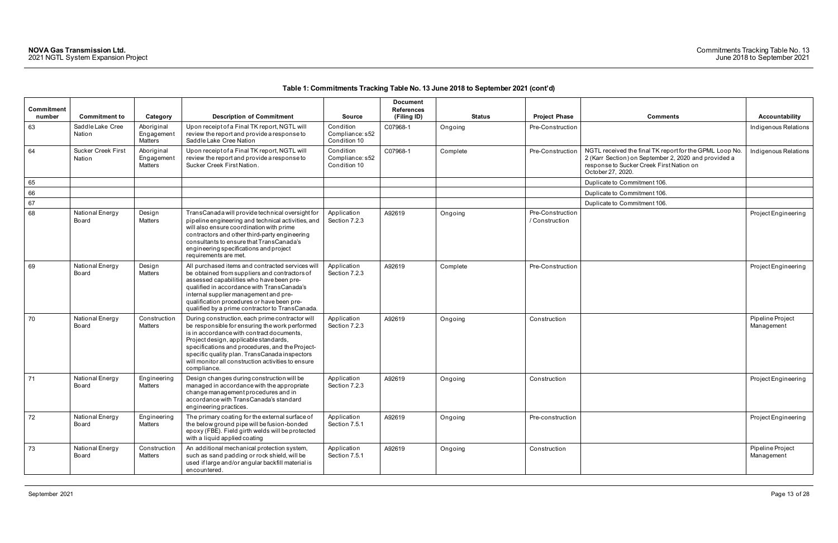| Commitment<br>number | <b>Commitment to</b>                | Category                            | <b>Description of Commitment</b>                                                                                                                                                                                                                                                                                                                                 | <b>Source</b>                                | <b>Document</b><br><b>References</b><br>(Filing ID) | <b>Status</b> | <b>Project Phase</b>               | <b>Comments</b>                                                                                                                                                                  | <b>Accountability</b>          |
|----------------------|-------------------------------------|-------------------------------------|------------------------------------------------------------------------------------------------------------------------------------------------------------------------------------------------------------------------------------------------------------------------------------------------------------------------------------------------------------------|----------------------------------------------|-----------------------------------------------------|---------------|------------------------------------|----------------------------------------------------------------------------------------------------------------------------------------------------------------------------------|--------------------------------|
| 63                   | Saddle Lake Cree<br>Nation          | Aboriginal<br>Engagement<br>Matters | Upon receipt of a Final TK report, NGTL will<br>review the report and provide a response to<br>Saddle Lake Cree Nation                                                                                                                                                                                                                                           | Condition<br>Compliance: s52<br>Condition 10 | C07968-1                                            | Ongoing       | Pre-Construction                   |                                                                                                                                                                                  | Indigenous Relations           |
| 64                   | <b>Sucker Creek First</b><br>Nation | Aboriginal<br>Engagement<br>Matters | Upon receipt of a Final TK report, NGTL will<br>review the report and provide a response to<br>Sucker Creek First Nation.                                                                                                                                                                                                                                        | Condition<br>Compliance: s52<br>Condition 10 | C07968-1                                            | Complete      | Pre-Construction                   | NGTL received the final TK report for the GPML Loop No.<br>2 (Karr Section) on September 2, 2020 and provided a<br>response to Sucker Creek First Nation on<br>October 27, 2020. | Indigenous Relations           |
| 65                   |                                     |                                     |                                                                                                                                                                                                                                                                                                                                                                  |                                              |                                                     |               |                                    | Duplicate to Commitment 106.                                                                                                                                                     |                                |
| 66                   |                                     |                                     |                                                                                                                                                                                                                                                                                                                                                                  |                                              |                                                     |               |                                    | Duplicate to Commitment 106.                                                                                                                                                     |                                |
| 67                   |                                     |                                     |                                                                                                                                                                                                                                                                                                                                                                  |                                              |                                                     |               |                                    | Duplicate to Commitment 106.                                                                                                                                                     |                                |
| 68                   | National Energy<br>Board            | Design<br>Matters                   | TransCanada will provide technical oversight for<br>pipeline engineering and technical activities, and<br>will also ensure coordination with prime<br>contractors and other third-party engineering<br>consultants to ensure that TransCanada's<br>engineering specifications and project<br>requirements are met.                                               | Application<br>Section 7.2.3                 | A92619                                              | Ongoing       | Pre-Construction<br>/ Construction |                                                                                                                                                                                  | Project Engineering            |
| 69                   | National Energy<br>Board            | Design<br>Matters                   | All purchased items and contracted services will<br>be obtained from suppliers and contractors of<br>assessed capabilities who have been pre-<br>qualified in accordance with TransCanada's<br>internal supplier management and pre-<br>qualification procedures or have been pre-<br>qualified by a prime contractor to TransCanada.                            | Application<br>Section 7.2.3                 | A92619                                              | Complete      | Pre-Construction                   |                                                                                                                                                                                  | Project Engineering            |
| 70                   | National Energy<br>Board            | Construction<br>Matters             | During construction, each prime contractor will<br>be responsible for ensuring the work performed<br>is in accordance with contract documents,<br>Project design, applicable standards,<br>specifications and procedures, and the Project-<br>specific quality plan. TransCanada inspectors<br>will monitor all construction activities to ensure<br>compliance. | Application<br>Section 7.2.3                 | A92619                                              | Ongoing       | Construction                       |                                                                                                                                                                                  | Pipeline Project<br>Management |
| 71                   | National Energy<br>Board            | Engineering<br>Matters              | Design changes during construction will be<br>managed in accordance with the appropriate<br>change management procedures and in<br>accordance with TransCanada's standard<br>engineering practices.                                                                                                                                                              | Application<br>Section 7.2.3                 | A92619                                              | Ongoing       | Construction                       |                                                                                                                                                                                  | Project Engineering            |
| 72                   | National Energy<br>Board            | Engineering<br>Matters              | The primary coating for the external surface of<br>the below ground pipe will be fusion-bonded<br>epoxy (FBE). Field girth welds will be protected<br>with a liquid applied coating                                                                                                                                                                              | Application<br>Section 7.5.1                 | A92619                                              | Ongoing       | Pre-construction                   |                                                                                                                                                                                  | Project Engineering            |
| 73                   | National Energy<br>Board            | Construction<br>Matters             | An additional mechanical protection system,<br>such as sand padding or rock shield, will be<br>used if large and/or angular backfill material is<br>encountered.                                                                                                                                                                                                 | Application<br>Section 7.5.1                 | A92619                                              | Ongoing       | Construction                       |                                                                                                                                                                                  | Pipeline Project<br>Management |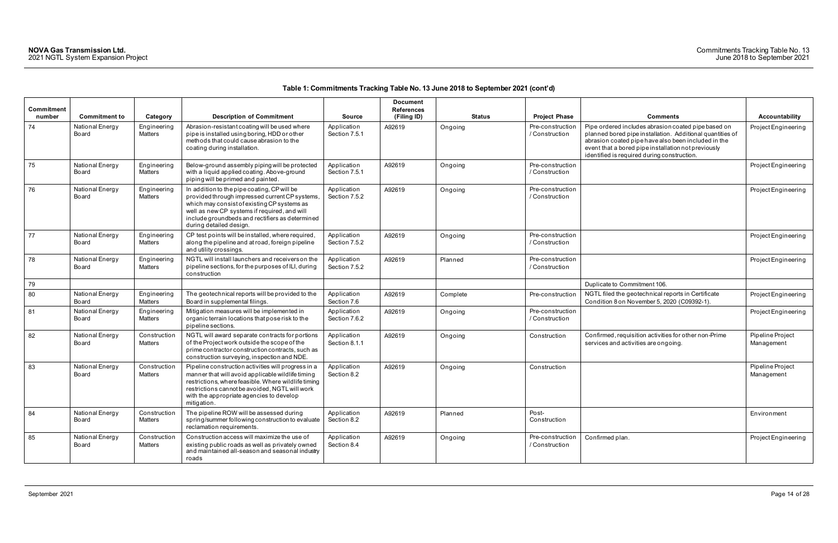| Commitment |                          |                         |                                                                                                                                                                                                                                                                              |                              | <b>Document</b><br><b>References</b> |               |                                    |                                                                                                                                                                                                                                                                               |                                |
|------------|--------------------------|-------------------------|------------------------------------------------------------------------------------------------------------------------------------------------------------------------------------------------------------------------------------------------------------------------------|------------------------------|--------------------------------------|---------------|------------------------------------|-------------------------------------------------------------------------------------------------------------------------------------------------------------------------------------------------------------------------------------------------------------------------------|--------------------------------|
| number     | <b>Commitment to</b>     | Category                | <b>Description of Commitment</b>                                                                                                                                                                                                                                             | <b>Source</b>                | (Filing ID)                          | <b>Status</b> | <b>Project Phase</b>               | <b>Comments</b>                                                                                                                                                                                                                                                               | <b>Accountability</b>          |
| 74         | National Energy<br>Board | Engineering<br>Matters  | Abrasion-resistant coating will be used where<br>pipe is installed using boring, HDD or other<br>methods that could cause abrasion to the<br>coating during installation.                                                                                                    | Application<br>Section 7.5.1 | A92619                               | Ongoing       | Pre-construction<br>/ Construction | Pipe ordered includes abrasion coated pipe based on<br>planned bored pipe installation. Additional quantities of<br>abrasion coated pipe have also been included in the<br>event that a bored pipe installation not previously<br>identified is required during construction. | Project Engineering            |
| 75         | National Energy<br>Board | Engineering<br>Matters  | Below-ground assembly piping will be protected<br>with a liquid applied coating. Above-ground<br>piping will be primed and painted.                                                                                                                                          | Application<br>Section 7.5.1 | A92619                               | Ongoing       | Pre-construction<br>/ Construction |                                                                                                                                                                                                                                                                               | Project Engineering            |
| 76         | National Energy<br>Board | Engineering<br>Matters  | In addition to the pipe coating, CP will be<br>provided through impressed current CP systems,<br>which may consist of existing CP systems as<br>well as new CP systems if required, and will<br>include groundbeds and rectifiers as determined<br>during detailed design.   | Application<br>Section 7.5.2 | A92619                               | Ongoing       | Pre-construction<br>/ Construction |                                                                                                                                                                                                                                                                               | Project Engineering            |
| 77         | National Energy<br>Board | Engineering<br>Matters  | CP test points will be installed, where required,<br>along the pipeline and at road, foreign pipeline<br>and utility crossings.                                                                                                                                              | Application<br>Section 7.5.2 | A92619                               | Ongoing       | Pre-construction<br>/ Construction |                                                                                                                                                                                                                                                                               | Project Engineering            |
| 78         | National Energy<br>Board | Engineering<br>Matters  | NGTL will install launchers and receivers on the<br>pipeline sections, for the purposes of ILI, during<br>construction                                                                                                                                                       | Application<br>Section 7.5.2 | A92619                               | Planned       | Pre-construction<br>/ Construction |                                                                                                                                                                                                                                                                               | Project Engineering            |
| 79         |                          |                         |                                                                                                                                                                                                                                                                              |                              |                                      |               |                                    | Duplicate to Commitment 106.                                                                                                                                                                                                                                                  |                                |
| 80         | National Energy<br>Board | Engineering<br>Matters  | The geotechnical reports will be provided to the<br>Board in supplemental filings.                                                                                                                                                                                           | Application<br>Section 7.6   | A92619                               | Complete      | Pre-construction                   | NGTL filed the geotechnical reports in Certificate<br>Condition 8 on November 5, 2020 (C09392-1).                                                                                                                                                                             | Project Engineering            |
| 81         | National Energy<br>Board | Engineering<br>Matters  | Mitigation measures will be implemented in<br>organic terrain locations that pose risk to the<br>pipeline sections.                                                                                                                                                          | Application<br>Section 7.6.2 | A92619                               | Ongoing       | Pre-construction<br>/ Construction |                                                                                                                                                                                                                                                                               | Project Engineering            |
| 82         | National Energy<br>Board | Construction<br>Matters | NGTL will award separate contracts for portions<br>of the Project work outside the scope of the<br>prime contractor construction contracts, such as<br>construction surveying, inspection and NDE.                                                                           | Application<br>Section 8.1.1 | A92619                               | Ongoing       | Construction                       | Confirmed, requisition activities for other non-Prime<br>services and activities are ongoing.                                                                                                                                                                                 | Pipeline Project<br>Management |
| 83         | National Energy<br>Board | Construction<br>Matters | Pipeline construction activities will progress in a<br>manner that will avoid applicable wildlife timing<br>restrictions, where feasible. Where wildlife timing<br>restrictions cannot be avoided, NGTL will work<br>with the appropriate agencies to develop<br>mitigation. | Application<br>Section 8.2   | A92619                               | Ongoing       | Construction                       |                                                                                                                                                                                                                                                                               | Pipeline Project<br>Management |
| 84         | National Energy<br>Board | Construction<br>Matters | The pipeline ROW will be assessed during<br>spring/summer following construction to evaluate<br>reclamation requirements.                                                                                                                                                    | Application<br>Section 8.2   | A92619                               | Planned       | Post-<br>Construction              |                                                                                                                                                                                                                                                                               | Environment                    |
| 85         | National Energy<br>Board | Construction<br>Matters | Construction access will maximize the use of<br>existing public roads as well as privately owned<br>and maintained all-season and seasonal industry<br>roads                                                                                                                 | Application<br>Section 8.4   | A92619                               | Ongoing       | Pre-construction<br>/ Construction | Confirmed plan.                                                                                                                                                                                                                                                               | Project Engineering            |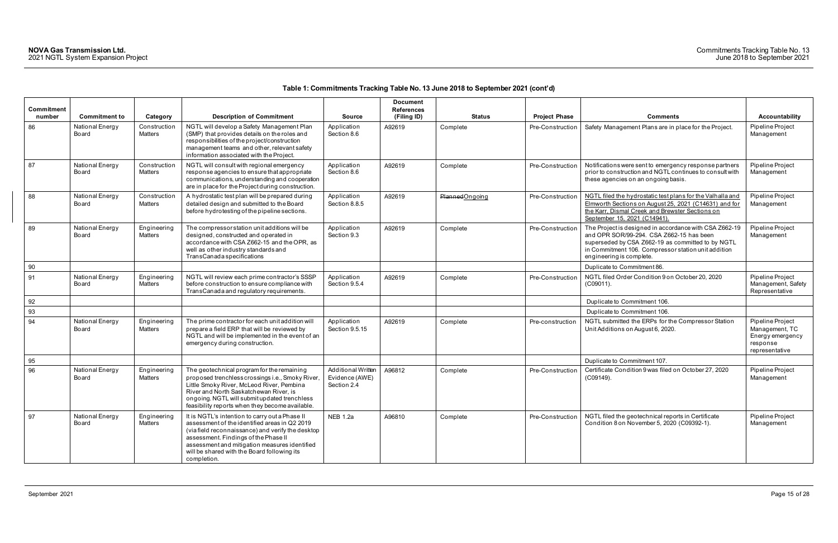| <b>Commitment</b> |                          |                               |                                                                                                                                                                                                                                                                                                             |                                                     | <b>Document</b><br><b>References</b> |                 |                      |                                                                                                                                                                                                                                            |                                                                                      |
|-------------------|--------------------------|-------------------------------|-------------------------------------------------------------------------------------------------------------------------------------------------------------------------------------------------------------------------------------------------------------------------------------------------------------|-----------------------------------------------------|--------------------------------------|-----------------|----------------------|--------------------------------------------------------------------------------------------------------------------------------------------------------------------------------------------------------------------------------------------|--------------------------------------------------------------------------------------|
| number            | <b>Commitment to</b>     | Category                      | <b>Description of Commitment</b>                                                                                                                                                                                                                                                                            | <b>Source</b>                                       | (Filing ID)                          | <b>Status</b>   | <b>Project Phase</b> | <b>Comments</b>                                                                                                                                                                                                                            | <b>Accountability</b>                                                                |
| 86                | National Energy<br>Board | Construction<br>Matters       | NGTL will develop a Safety Management Plan<br>(SMP) that provides details on the roles and<br>responsibilities of the project/construction<br>management teams and other, relevant safety<br>information associated with the Project.                                                                       | Application<br>Section 8.6                          | A92619                               | Complete        | Pre-Construction     | Safety Management Plans are in place for the Project.                                                                                                                                                                                      | Pipeline Project<br>Management                                                       |
| 87                | National Energy<br>Board | Construction<br>Matters       | NGTL will consult with regional emergency<br>response agencies to ensure that appropriate<br>communications, understanding and cooperation<br>are in place for the Project during construction.                                                                                                             | Application<br>Section 8.6                          | A92619                               | Complete        | Pre-Construction     | Notifications were sent to emergency response partners<br>prior to construction and NGTL continues to consult with<br>these agencies on an ongoing basis.                                                                                  | Pipeline Project<br>Management                                                       |
| 88                | National Energy<br>Board | Construction<br>Matters       | A hydrostatic test plan will be prepared during<br>detailed design and submitted to the Board<br>before hydrotesting of the pipeline sections.                                                                                                                                                              | Application<br>Section 8.8.5                        | A92619                               | Planned Ongoing | Pre-Construction     | NGTL filed the hydrostatic test plans for the Valhalla and<br>Elmworth Sections on August 25, 2021 (C14631) and for<br>the Karr, Dismal Creek and Brewster Sections on<br>September 15, 2021 (C14941).                                     | Pipeline Project<br>Management                                                       |
| 89                | National Energy<br>Board | Engineering<br>Matters        | The compressor station unit additions will be<br>designed, constructed and operated in<br>accordance with CSA Z662-15 and the OPR, as<br>well as other industry standards and<br><b>TransCanada specifications</b>                                                                                          | Application<br>Section 9.3                          | A92619                               | Complete        | Pre-Construction     | The Project is designed in accordance with CSA Z662-19<br>and OPR SOR/99-294. CSA Z662-15 has been<br>superseded by CSA Z662-19 as committed to by NGTL<br>in Commitment 106. Compressor station unit addition<br>engineering is complete. | Pipeline Project<br>Management                                                       |
| 90                |                          |                               |                                                                                                                                                                                                                                                                                                             |                                                     |                                      |                 |                      | Duplicate to Commitment 86.                                                                                                                                                                                                                |                                                                                      |
| 91                | National Energy<br>Board | Engineering<br><b>Matters</b> | NGTL will review each prime contractor's SSSP<br>before construction to ensure compliance with<br>TransCanada and regulatory requirements.                                                                                                                                                                  | Application<br>Section 9.5.4                        | A92619                               | Complete        | Pre-Construction     | NGTL filed Order Condition 9 on October 20, 2020<br>(C09011).                                                                                                                                                                              | Pipeline Project<br>Management, Safety<br>Representative                             |
| 92                |                          |                               |                                                                                                                                                                                                                                                                                                             |                                                     |                                      |                 |                      | Duplicate to Commitment 106.                                                                                                                                                                                                               |                                                                                      |
| 93                |                          |                               |                                                                                                                                                                                                                                                                                                             |                                                     |                                      |                 |                      | Duplicate to Commitment 106.                                                                                                                                                                                                               |                                                                                      |
| 94                | National Energy<br>Board | Engineering<br><b>Matters</b> | The prime contractor for each unit addition will<br>prepare a field ERP that will be reviewed by<br>NGTL and will be implemented in the event of an<br>emergency during construction.                                                                                                                       | Application<br>Section 9.5.15                       | A92619                               | Complete        | Pre-construction     | NGTL submitted the ERPs for the Compressor Station<br>Unit Additions on August 6, 2020.                                                                                                                                                    | Pipeline Project<br>Management, TC<br>Energy emergency<br>response<br>representative |
| 95                |                          |                               |                                                                                                                                                                                                                                                                                                             |                                                     |                                      |                 |                      | Duplicate to Commitment 107.                                                                                                                                                                                                               |                                                                                      |
| 96                | National Energy<br>Board | Engineering<br>Matters        | The geotechnical program for the remaining<br>proposed trenchless crossings i.e., Smoky River<br>Little Smoky River, McLeod River, Pembina<br>River and North Saskatchewan River, is<br>ongoing. NGTL will submit updated trenchless<br>teasibility reports when they become available.                     | Additional Written<br>Evidence (AWE)<br>Section 2.4 | A96812                               | Complete        | Pre-Construction     | Certificate Condition 9 was filed on October 27, 2020<br>(C09149).                                                                                                                                                                         | Pipeline Project<br>Management                                                       |
| 97                | National Energy<br>Board | Engineering<br>Matters        | It is NGTL's intention to carry out a Phase II<br>assessment of the identified areas in Q2 2019<br>(via field reconnaissance) and verify the desktop<br>assessment. Findings of the Phase II<br>assessment and mitigation measures identified<br>will be shared with the Board following its<br>completion. | <b>NEB 1.2a</b>                                     | A96810                               | Complete        | Pre-Construction     | NGTL filed the geotechnical reports in Certificate<br>Condition 8 on November 5, 2020 (C09392-1).                                                                                                                                          | Pipeline Project<br>Management                                                       |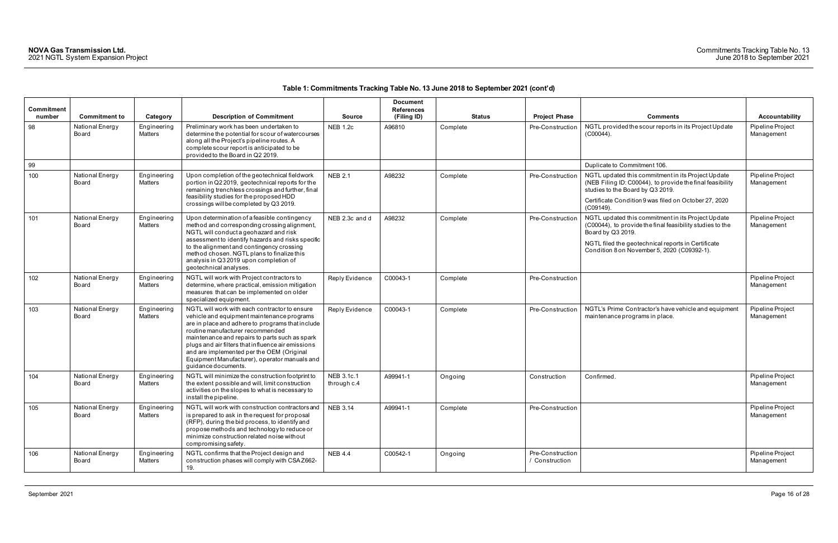| <b>Commitment</b> |                                                  |                                    |                                                                                                                                                                                                                                                                                                                                                                                                                  |                                  | <b>Document</b><br><b>References</b> |                           |                                          |                                                                                                                                                                                                                                           |                                                         |
|-------------------|--------------------------------------------------|------------------------------------|------------------------------------------------------------------------------------------------------------------------------------------------------------------------------------------------------------------------------------------------------------------------------------------------------------------------------------------------------------------------------------------------------------------|----------------------------------|--------------------------------------|---------------------------|------------------------------------------|-------------------------------------------------------------------------------------------------------------------------------------------------------------------------------------------------------------------------------------------|---------------------------------------------------------|
| number<br>98      | <b>Commitment to</b><br>National Energy<br>Board | Category<br>Engineering<br>Matters | <b>Description of Commitment</b><br>Preliminary work has been undertaken to<br>determine the potential for scour of watercourses<br>along all the Project's pipeline routes. A<br>complete scour report is anticipated to be<br>provided to the Board in Q2 2019.                                                                                                                                                | <b>Source</b><br><b>NEB 1.2c</b> | (Filing ID)<br>A96810                | <b>Status</b><br>Complete | <b>Project Phase</b><br>Pre-Construction | <b>Comments</b><br>NGTL provided the scour reports in its Project Update<br>$(C00044)$ .                                                                                                                                                  | <b>Accountability</b><br>Pipeline Project<br>Management |
| 99                |                                                  |                                    |                                                                                                                                                                                                                                                                                                                                                                                                                  |                                  |                                      |                           |                                          | Duplicate to Commitment 106.                                                                                                                                                                                                              |                                                         |
| 100               | National Energy<br>Board                         | Engineering<br>Matters             | Upon completion of the geotechnical fieldwork<br>portion in Q2 2019, geotechnical reports for the<br>remaining trenchless crossings and further, final<br>feasibility studies for the proposed HDD<br>crossings will be completed by Q3 2019.                                                                                                                                                                    | <b>NEB 2.1</b>                   | A98232                               | Complete                  | Pre-Construction                         | NGTL updated this commitment in its Project Update<br>(NEB Filing ID: C00044), to provide the final feasibility<br>studies to the Board by Q3 2019.<br>Certificate Condition 9 was filed on October 27, 2020<br>$(C09149)$ .              | Pipeline Project<br>Management                          |
| 101               | National Energy<br>Board                         | Engineering<br><b>Matters</b>      | Upon determination of a feasible contingency<br>method and corresponding crossing alignment,<br>NGTL will conduct a geohazard and risk<br>assessment to identify hazards and risks specific<br>to the alignment and contingency crossing<br>method chosen. NGTL plans to finalize this<br>analysis in Q3 2019 upon completion of<br>geotechnical analyses.                                                       | NEB 2.3c and d                   | A98232                               | Complete                  | Pre-Construction                         | NGTL updated this commitment in its Project Update<br>(C00044), to provide the final feasibility studies to the<br>Board by Q3 2019.<br>NGTL filed the geotechnical reports in Certificate<br>Condition 8 on November 5, 2020 (C09392-1). | Pipeline Project<br>Management                          |
| 102               | National Energy<br>Board                         | Engineering<br>Matters             | NGTL will work with Project contractors to<br>determine, where practical, emission mitigation<br>measures that can be implemented on older<br>specialized equipment.                                                                                                                                                                                                                                             | Reply Evidence                   | C00043-1                             | Complete                  | Pre-Construction                         |                                                                                                                                                                                                                                           | Pipeline Project<br>Management                          |
| 103               | National Energy<br>Board                         | Engineering<br>Matters             | NGTL will work with each contractor to ensure<br>vehicle and equipment maintenance programs<br>are in place and adhere to programs that include<br>routine manufacturer recommended<br>maintenance and repairs to parts such as spark<br>plugs and air filters that influence air emissions<br>and are implemented per the OEM (Original<br>Equipment Manufacturer), operator manuals and<br>guidance documents. | Reply Evidence                   | C00043-1                             | Complete                  | Pre-Construction                         | NGTL's Prime Contractor's have vehicle and equipment<br>maintenance programs in place.                                                                                                                                                    | Pipeline Project<br>Management                          |
| 104               | National Energy<br>Board                         | Engineering<br><b>Matters</b>      | NGTL will minimize the construction footprint to<br>the extent possible and will, limit construction<br>activities on the slopes to what is necessary to<br>install the pipeline.                                                                                                                                                                                                                                | NEB 3.1c.1<br>through c.4        | A99941-1                             | Ongoing                   | Construction                             | Confirmed.                                                                                                                                                                                                                                | Pipeline Project<br>Management                          |
| 105               | National Energy<br>Board                         | Engineering<br>Matters             | NGTL will work with construction contractors and<br>is prepared to ask in the request for proposal<br>(RFP), during the bid process, to identify and<br>propose methods and technology to reduce or<br>minimize construction related noise without<br>compromising safety.                                                                                                                                       | NEB 3.14                         | A99941-1                             | Complete                  | Pre-Construction                         |                                                                                                                                                                                                                                           | Pipeline Project<br>Management                          |
| 106               | National Energy<br>Board                         | Engineering<br>Matters             | NGTL confirms that the Project design and<br>construction phases will comply with CSAZ662-<br>19.                                                                                                                                                                                                                                                                                                                | <b>NEB 4.4</b>                   | C00542-1                             | Ongoing                   | Pre-Construction<br>/ Construction       |                                                                                                                                                                                                                                           | Pipeline Project<br>Management                          |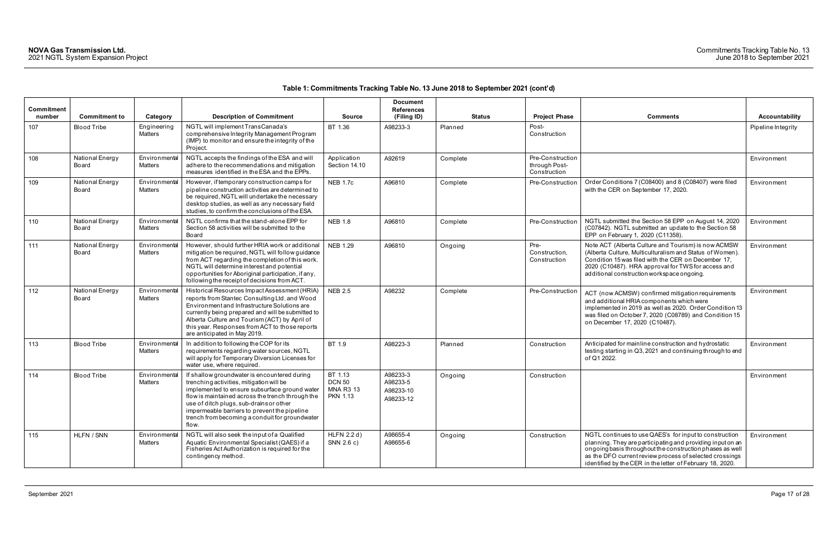| <b>Commitment</b> |                          |                                 |                                                                                                                                                                                                                                                                                                                                                     |                                                                 | <b>Document</b><br><b>References</b>           |               |                                                   |                                                                                                                                                                                                                                                                                                          |                       |
|-------------------|--------------------------|---------------------------------|-----------------------------------------------------------------------------------------------------------------------------------------------------------------------------------------------------------------------------------------------------------------------------------------------------------------------------------------------------|-----------------------------------------------------------------|------------------------------------------------|---------------|---------------------------------------------------|----------------------------------------------------------------------------------------------------------------------------------------------------------------------------------------------------------------------------------------------------------------------------------------------------------|-----------------------|
| number            | <b>Commitment to</b>     | Category                        | <b>Description of Commitment</b>                                                                                                                                                                                                                                                                                                                    | <b>Source</b>                                                   | (Filing ID)                                    | <b>Status</b> | <b>Project Phase</b>                              | <b>Comments</b>                                                                                                                                                                                                                                                                                          | <b>Accountability</b> |
| 107               | <b>Blood Tribe</b>       | Engineering<br>Matters          | NGTL will implement TransCanada's<br>comprehensive Integrity Management Program<br>(IMP) to monitor and ensure the integrity of the<br>Project.                                                                                                                                                                                                     | BT 1.36                                                         | A98233-3                                       | Planned       | Post-<br>Construction                             |                                                                                                                                                                                                                                                                                                          | Pipeline Integrity    |
| 108               | National Energy<br>Board | Environmental<br><b>Matters</b> | NGTL accepts the findings of the ESA and will<br>adhere to the recommendations and mitigation<br>measures identified in the ESA and the EPPs.                                                                                                                                                                                                       | Application<br>Section 14.10                                    | A92619                                         | Complete      | Pre-Construction<br>through Post-<br>Construction |                                                                                                                                                                                                                                                                                                          | Environment           |
| 109               | National Energy<br>Board | Environmental<br><b>Matters</b> | However, if temporary construction camps for<br>pipeline construction activities are determined to<br>be required, NGTL will undertake the necessary<br>desktop studies, as well as any necessary field<br>studies, to confirm the conclusions of the ESA.                                                                                          | <b>NEB 1.7c</b>                                                 | A96810                                         | Complete      | Pre-Construction                                  | Order Conditions 7 (C08400) and 8 (C08407) were filed<br>with the CER on September 17, 2020.                                                                                                                                                                                                             | Environment           |
| 110               | National Energy<br>Board | Environmental<br><b>Matters</b> | NGTL confirms that the stand-alone EPP for<br>Section 58 activities will be submitted to the<br>Board                                                                                                                                                                                                                                               | <b>NEB 1.8</b>                                                  | A96810                                         | Complete      | Pre-Construction                                  | NGTL submitted the Section 58 EPP on August 14, 2020<br>(C07842). NGTL submitted an update to the Section 58<br>EPP on February 1, 2020 (C11358).                                                                                                                                                        | Environment           |
| 111               | National Energy<br>Board | Environmental<br>Matters        | However, should further HRIA work or additional<br>mitigation be required, NGTL will follow guidance<br>from ACT regarding the completion of this work.<br>NGTL will determine interest and potential<br>opportunities for Aboriginal participation, if any,<br>following the receipt of decisions from ACT.                                        | <b>NEB 1.29</b>                                                 | A96810                                         | Ongoing       | Pre-<br>Construction,<br>Construction             | Note ACT (Alberta Culture and Tourism) is now ACMSW<br>(Alberta Culture, Multiculturalism and Status of Women).<br>Condition 15 was filed with the CER on December 17,<br>2020 (C10487). HRA approval for TWS for access and<br>additional construction workspace ongoing.                               | Environment           |
| 112               | National Energy<br>Board | Environmental<br>Matters        | Historical Resources Impact Assessment (HRIA)<br>reports from Stantec Consulting Ltd. and Wood<br>Environment and Infrastructure Solutions are<br>currently being prepared and will be submitted to<br>Alberta Culture and Tourism (ACT) by April of<br>this year. Responses from ACT to those reports<br>are anticipated in May 2019.              | <b>NEB 2.5</b>                                                  | A98232                                         | Complete      | Pre-Construction                                  | ACT (now ACMSW) confirmed mitigation requirements<br>and additional HRIA components which were<br>implemented in 2019 as well as 2020. Order Condition 13<br>was filed on October 7, 2020 (C08789) and Condition 15<br>on December 17, 2020 (C10487).                                                    | Environment           |
| 113               | <b>Blood Tribe</b>       | Environmental<br>Matters        | In addition to following the COP for its<br>requirements regarding water sources, NGTL<br>will apply for Temporary Diversion Licenses for<br>water use, where required.                                                                                                                                                                             | BT 1.9                                                          | A98223-3                                       | Planned       | Construction                                      | Anticipated for mainline construction and hydrostatic<br>testing starting in Q3, 2021 and continuing through to end<br>of Q1 2022.                                                                                                                                                                       | Environment           |
| 114               | <b>Blood Tribe</b>       | Environmental<br><b>Matters</b> | If shallow groundwater is encountered during<br>trenching activities, mitigation will be<br>implemented to ensure subsurface ground water<br>flow is maintained across the trench through the<br>use of ditch plugs, sub-drains or other<br>impermeable barriers to prevent the pipeline<br>trench from becoming a conduit for groundwater<br>flow. | BT 1.13<br><b>DCN 50</b><br><b>MNA R3 13</b><br><b>PKN 1.13</b> | A98233-3<br>A98233-5<br>A98233-10<br>A98233-12 | Ongoing       | Construction                                      |                                                                                                                                                                                                                                                                                                          | Environment           |
| 115               | HLFN / SNN               | Environmental<br>Matters        | NGTL will also seek the input of a Qualified<br>Aquatic Environmental Specialist (QAES) if a<br>Fisheries Act Authorization is required for the<br>contingency method.                                                                                                                                                                              | HLFN 2.2 d)<br>SNN 2.6 c)                                       | A98655-4<br>A98655-6                           | Ongoing       | Construction                                      | NGTL continues to use QAES's for input to construction<br>planning. They are participating and providing input on an<br>ongoing basis throughout the construction phases as well<br>as the DFO current review process of selected crossings<br>identified by the CER in the letter of February 18, 2020. | Environment           |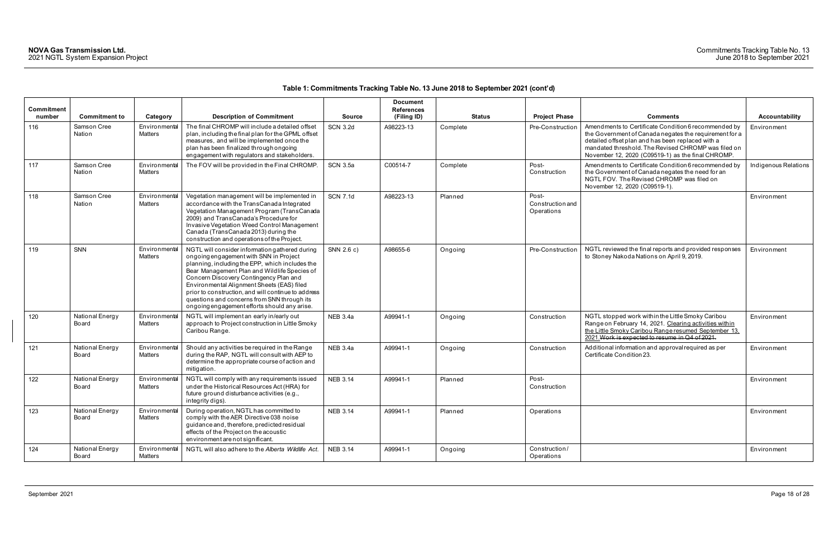| <b>Commitment</b><br>number | <b>Commitment to</b>     | Category                        | <b>Description of Commitment</b>                                                                                                                                                                                                                                                                                                                                                                                                          | <b>Source</b>   | <b>Document</b><br><b>References</b><br>(Filing ID) | <b>Status</b> | <b>Project Phase</b>                    | <b>Comments</b>                                                                                                                                                                                                                                                                 | <b>Accountability</b> |
|-----------------------------|--------------------------|---------------------------------|-------------------------------------------------------------------------------------------------------------------------------------------------------------------------------------------------------------------------------------------------------------------------------------------------------------------------------------------------------------------------------------------------------------------------------------------|-----------------|-----------------------------------------------------|---------------|-----------------------------------------|---------------------------------------------------------------------------------------------------------------------------------------------------------------------------------------------------------------------------------------------------------------------------------|-----------------------|
| 116                         | Samson Cree<br>Nation    | Environmental<br>Matters        | The final CHROMP will include a detailed offset<br>plan, including the final plan for the GPML offset<br>measures, and will be implemented once the<br>plan has been finalized through ongoing<br>engagement with regulators and stakeholders.                                                                                                                                                                                            | <b>SCN 3.2d</b> | A98223-13                                           | Complete      | Pre-Construction                        | Amendments to Certificate Condition 6 recommended by<br>the Government of Canada negates the requirement for a<br>detailed offset plan and has been replaced with a<br>mandated threshold. The Revised CHROMP was filed on<br>November 12, 2020 (C09519-1) as the final CHROMP. | Environment           |
| 117                         | Samson Cree<br>Nation    | Environmental<br><b>Matters</b> | The FOV will be provided in the Final CHROMP.                                                                                                                                                                                                                                                                                                                                                                                             | <b>SCN 3.5a</b> | C00514-7                                            | Complete      | Post-<br>Construction                   | Amendments to Certificate Condition 6 recommended by<br>the Government of Canada negates the need for an<br>NGTL FOV. The Revised CHROMP was filed on<br>November 12, 2020 (C09519-1).                                                                                          | Indigenous Relations  |
| 118                         | Samson Cree<br>Nation    | Environmental<br><b>Matters</b> | Vegetation management will be implemented in<br>accordance with the TransCanada Integrated<br>Vegetation Management Program (TransCanada<br>2009) and TransCanada's Procedure for<br>Invasive Vegetation Weed Control Management<br>Canada (TransCanada 2013) during the<br>construction and operations of the Project.                                                                                                                   | <b>SCN 7.1d</b> | A98223-13                                           | Planned       | Post-<br>Construction and<br>Operations |                                                                                                                                                                                                                                                                                 | Environment           |
| 119                         | SNN                      | Environmental<br><b>Matters</b> | NGTL will consider information gathered during<br>ongoing engagement with SNN in Project<br>planning, including the EPP, which includes the<br>Bear Management Plan and Wildlife Species of<br>Concern Discovery Contingency Plan and<br>Environmental Alignment Sheets (EAS) filed<br>prior to construction, and will continue to address<br>questions and concerns from SNN through its<br>ongoing engagement efforts should any arise. | SNN 2.6 c)      | A98655-6                                            | Ongoing       | Pre-Construction                        | NGTL reviewed the final reports and provided responses<br>to Stoney Nakoda Nations on April 9, 2019.                                                                                                                                                                            | Environment           |
| 120                         | National Energy<br>Board | Environmental<br><b>Matters</b> | NGTL will implement an early in/early out<br>approach to Project construction in Little Smoky<br>Caribou Range.                                                                                                                                                                                                                                                                                                                           | <b>NEB 3.4a</b> | A99941-1                                            | Ongoing       | Construction                            | NGTL stopped work within the Little Smoky Caribou<br>Range on February 14, 2021. Clearing activities within<br>the Little Smoky Caribou Range resumed September 13,<br>2021. Work is expected to resume in Q4 of 2021.                                                          | Environment           |
| 121                         | National Energy<br>Board | Environmental<br>Matters        | Should any activities be required in the Range<br>during the RAP, NGTL will consult with AEP to<br>determine the appropriate course of action and<br>mitigation.                                                                                                                                                                                                                                                                          | <b>NEB 3.4a</b> | A99941-1                                            | Ongoing       | Construction                            | Additional information and approval required as per<br>Certificate Condition 23.                                                                                                                                                                                                | Environment           |
| 122                         | National Energy<br>Board | Environmental<br>Matters        | NGTL will comply with any requirements issued<br>under the Historical Resources Act (HRA) for<br>future ground disturbance activities (e.g.,<br>integrity digs).                                                                                                                                                                                                                                                                          | <b>NEB 3.14</b> | A99941-1                                            | Planned       | Post-<br>Construction                   |                                                                                                                                                                                                                                                                                 | Environment           |
| 123                         | National Energy<br>Board | Environmental<br>Matters        | During operation, NGTL has committed to<br>comply with the AER Directive 038 noise<br>guidance and, therefore, predicted residual<br>effects of the Project on the acoustic<br>environment are not significant.                                                                                                                                                                                                                           | <b>NEB 3.14</b> | A99941-1                                            | Planned       | Operations                              |                                                                                                                                                                                                                                                                                 | Environment           |
| 124                         | National Energy<br>Board | Environmental<br>Matters        | NGTL will also adhere to the Alberta Wildlife Act.                                                                                                                                                                                                                                                                                                                                                                                        | <b>NEB 3.14</b> | A99941-1                                            | Ongoing       | Construction/<br>Operations             |                                                                                                                                                                                                                                                                                 | Environment           |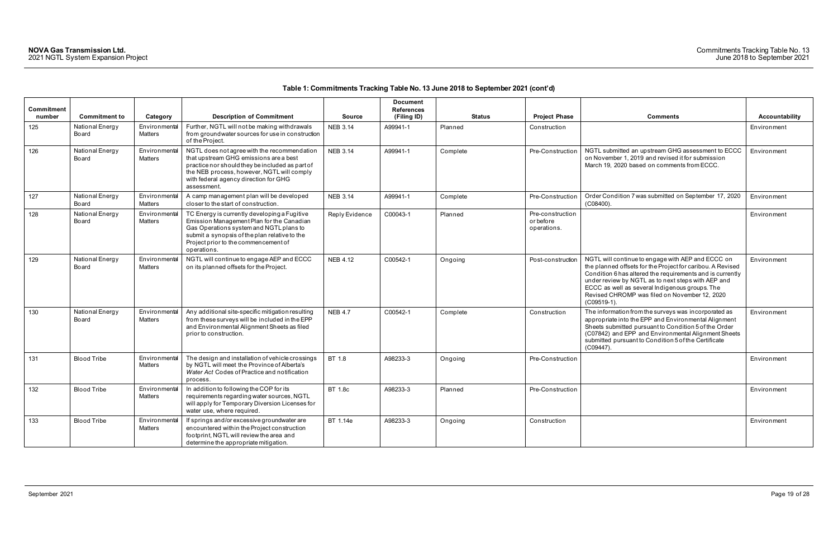| <b>Commitment</b> |                          |                                 |                                                                                                                                                                                                                                                |                 | <b>Document</b><br><b>References</b> |               |                                              |                                                                                                                                                                                                                                                                                                                                                        |                       |
|-------------------|--------------------------|---------------------------------|------------------------------------------------------------------------------------------------------------------------------------------------------------------------------------------------------------------------------------------------|-----------------|--------------------------------------|---------------|----------------------------------------------|--------------------------------------------------------------------------------------------------------------------------------------------------------------------------------------------------------------------------------------------------------------------------------------------------------------------------------------------------------|-----------------------|
| number            | <b>Commitment to</b>     | Category                        | <b>Description of Commitment</b>                                                                                                                                                                                                               | <b>Source</b>   | (Filing ID)                          | <b>Status</b> | <b>Project Phase</b>                         | <b>Comments</b>                                                                                                                                                                                                                                                                                                                                        | <b>Accountability</b> |
| 125               | National Energy<br>Board | Environmental<br><b>Matters</b> | Further, NGTL will not be making withdrawals<br>from groundwater sources for use in construction<br>of the Project.                                                                                                                            | <b>NEB 3.14</b> | A99941-1                             | Planned       | Construction                                 |                                                                                                                                                                                                                                                                                                                                                        | Environment           |
| 126               | National Energy<br>Board | Environmental<br>Matters        | NGTL does not agree with the recommendation<br>that upstream GHG emissions are a best<br>practice nor should they be included as part of<br>the NEB process, however, NGTL will comply<br>with federal agency direction for GHG<br>assessment. | <b>NEB 3.14</b> | A99941-1                             | Complete      | Pre-Construction                             | NGTL submitted an upstream GHG assessment to ECCC<br>on November 1, 2019 and revised it for submission<br>March 19, 2020 based on comments from ECCC.                                                                                                                                                                                                  | Environment           |
| 127               | National Energy<br>Board | Environmental<br><b>Matters</b> | A camp management plan will be developed<br>closer to the start of construction.                                                                                                                                                               | <b>NEB 3.14</b> | A99941-1                             | Complete      | Pre-Construction                             | Order Condition 7 was submitted on September 17, 2020<br>(C08400)                                                                                                                                                                                                                                                                                      | Environment           |
| 128               | National Energy<br>Board | Environmental<br><b>Matters</b> | TC Energy is currently developing a Fugitive<br>Emission Management Plan for the Canadian<br>Gas Operations system and NGTL plans to<br>submit a synopsis of the plan relative to the<br>Project prior to the commencement of<br>operations.   | Reply Evidence  | C00043-1                             | Planned       | Pre-construction<br>or before<br>operations. |                                                                                                                                                                                                                                                                                                                                                        | Environment           |
| 129               | National Energy<br>Board | Environmental<br>Matters        | NGTL will continue to engage AEP and ECCC<br>on its planned offsets for the Project.                                                                                                                                                           | <b>NEB 4.12</b> | C00542-1                             | Ongoing       | Post-construction                            | NGTL will continue to engage with AEP and ECCC on<br>the planned offsets for the Project for caribou. A Revised<br>Condition 6 has altered the requirements and is currently<br>under review by NGTL as to next steps with AEP and<br>ECCC as well as several Indigenous groups. The<br>Revised CHROMP was filed on November 12, 2020<br>$(C09519-1).$ | Environment           |
| 130               | National Energy<br>Board | Environmental<br>Matters        | Any additional site-specific mitigation resulting<br>from these surveys will be included in the EPP<br>and Environmental Alignment Sheets as filed<br>prior to construction.                                                                   | <b>NEB 4.7</b>  | C00542-1                             | Complete      | Construction                                 | The information from the surveys was incorporated as<br>appropriate into the EPP and Environmental Alignment<br>Sheets submitted pursuant to Condition 5 of the Order<br>(C07842) and EPP and Environmental Alignment Sheets<br>submitted pursuant to Condition 5 of the Certificate<br>(C09447).                                                      | Environment           |
| 131               | <b>Blood Tribe</b>       | Environmental<br><b>Matters</b> | The design and installation of vehicle crossings<br>by NGTL will meet the Province of Alberta's<br>Water Act Codes of Practice and notification<br>process.                                                                                    | BT 1.8          | A98233-3                             | Ongoing       | Pre-Construction                             |                                                                                                                                                                                                                                                                                                                                                        | Environment           |
| 132               | <b>Blood Tribe</b>       | Environmental<br>Matters        | In addition to following the COP for its<br>requirements regarding water sources, NGTL<br>will apply for Temporary Diversion Licenses for<br>water use, where required.                                                                        | <b>BT 1.8c</b>  | A98233-3                             | Planned       | Pre-Construction                             |                                                                                                                                                                                                                                                                                                                                                        | Environment           |
| 133               | <b>Blood Tribe</b>       | Environmental<br><b>Matters</b> | If springs and/or excessive groundwater are<br>encountered within the Project construction<br>footprint, NGTL will review the area and<br>determine the appropriate mitigation.                                                                | BT 1.14e        | A98233-3                             | Ongoing       | Construction                                 |                                                                                                                                                                                                                                                                                                                                                        | Environment           |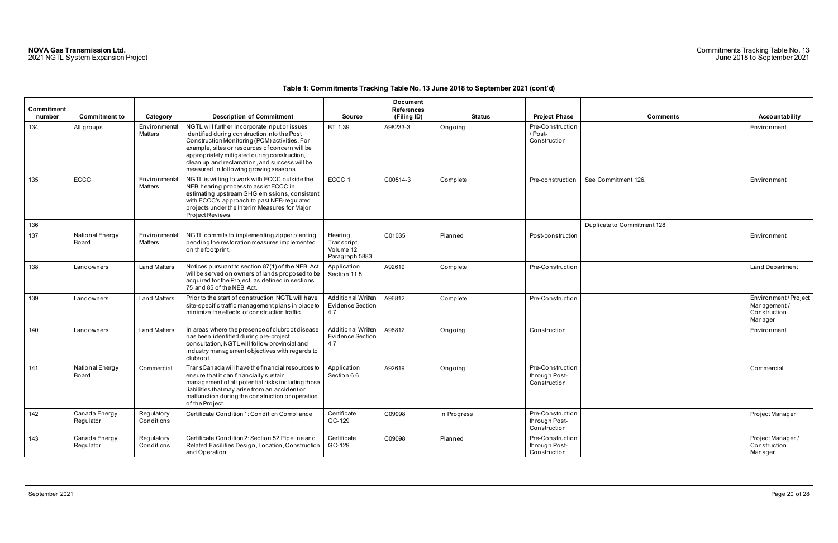| <b>Commitment</b><br>number | <b>Commitment to</b>       | Category                 | <b>Description of Commitment</b>                                                                                                                                                                                                                                                                                                            | <b>Source</b>                                               | <b>Document</b><br><b>References</b><br>(Filing ID) | <b>Status</b> | <b>Project Phase</b>                              | <b>Comments</b>              | <b>Accountability</b>                                         |
|-----------------------------|----------------------------|--------------------------|---------------------------------------------------------------------------------------------------------------------------------------------------------------------------------------------------------------------------------------------------------------------------------------------------------------------------------------------|-------------------------------------------------------------|-----------------------------------------------------|---------------|---------------------------------------------------|------------------------------|---------------------------------------------------------------|
| 134                         | All groups                 | Environmental<br>Matters | NGTL will further incorporate input or issues<br>identified during construction into the Post<br>Construction Monitoring (PCM) activities. For<br>example, sites or resources of concern will be<br>appropriately mitigated during construction,<br>clean up and reclamation, and success will be<br>measured in following growing seasons. | BT 1.39                                                     | A98233-3                                            | Ongoing       | Pre-Construction<br>/ Post-<br>Construction       |                              | Environment                                                   |
| 135                         | <b>ECCC</b>                | Environmental<br>Matters | NGTL is willing to work with ECCC outside the<br>NEB hearing process to assist ECCC in<br>estimating upstream GHG emissions, consistent<br>with ECCC's approach to past NEB-regulated<br>projects under the Interim Measures for Major<br>Project Reviews                                                                                   | ECCC 1                                                      | C00514-3                                            | Complete      | Pre-construction                                  | See Commitment 126.          | Environment                                                   |
| 136                         |                            |                          |                                                                                                                                                                                                                                                                                                                                             |                                                             |                                                     |               |                                                   | Duplicate to Commitment 128. |                                                               |
| 137                         | National Energy<br>Board   | Environmental<br>Matters | NGTL commits to implementing zipper planting<br>pending the restoration measures implemented<br>on the footprint.                                                                                                                                                                                                                           | Hearing<br>Transcript<br>Volume 12,<br>Paragraph 5883       | C01035                                              | Planned       | Post-construction                                 |                              | Environment                                                   |
| 138                         | Landowners                 | <b>Land Matters</b>      | Notices pursuant to section 87(1) of the NEB Act<br>will be served on owners of lands proposed to be<br>acquired for the Project, as defined in sections<br>75 and 85 of the NEB Act.                                                                                                                                                       | Application<br>Section 11.5                                 | A92619                                              | Complete      | Pre-Construction                                  |                              | Land Department                                               |
| 139                         | Landowners                 | <b>Land Matters</b>      | Prior to the start of construction, NGTL will have<br>site-specific traffic management plans in place to<br>minimize the effects of construction traffic.                                                                                                                                                                                   | <b>Additional Written</b><br>Evidence Section<br>4.7        | A96812                                              | Complete      | Pre-Construction                                  |                              | Environment/Project<br>Management/<br>Construction<br>Manager |
| 140                         | Landowners                 | <b>Land Matters</b>      | In areas where the presence of clubroot disease<br>has been identified during pre-project<br>consultation, NGTL will follow provincial and<br>industry management objectives with regards to<br>clubroot.                                                                                                                                   | <b>Additional Written</b><br><b>Evidence Section</b><br>4.7 | A96812                                              | Ongoing       | Construction                                      |                              | Environment                                                   |
| 141                         | National Energy<br>Board   | Commercial               | TransCanada will have the financial resources to<br>ensure that it can financially sustain<br>management of all potential risks including those<br>liabilities that may arise from an accident or<br>malfunction during the construction or operation<br>of the Project.                                                                    | Application<br>Section 6.6                                  | A92619                                              | Ongoing       | Pre-Construction<br>through Post-<br>Construction |                              | Commercial                                                    |
| 142                         | Canada Energy<br>Regulator | Regulatory<br>Conditions | Certificate Condition 1: Condition Compliance                                                                                                                                                                                                                                                                                               | Certificate<br>GC-129                                       | C09098                                              | In Progress   | Pre-Construction<br>through Post-<br>Construction |                              | Project Manager                                               |
| 143                         | Canada Energy<br>Regulator | Regulatory<br>Conditions | Certificate Condition 2: Section 52 Pipeline and<br>Related Facilities Design, Location, Construction<br>and Operation                                                                                                                                                                                                                      | Certificate<br>GC-129                                       | C09098                                              | Planned       | Pre-Construction<br>through Post-<br>Construction |                              | Project Manager /<br>Construction<br>Manager                  |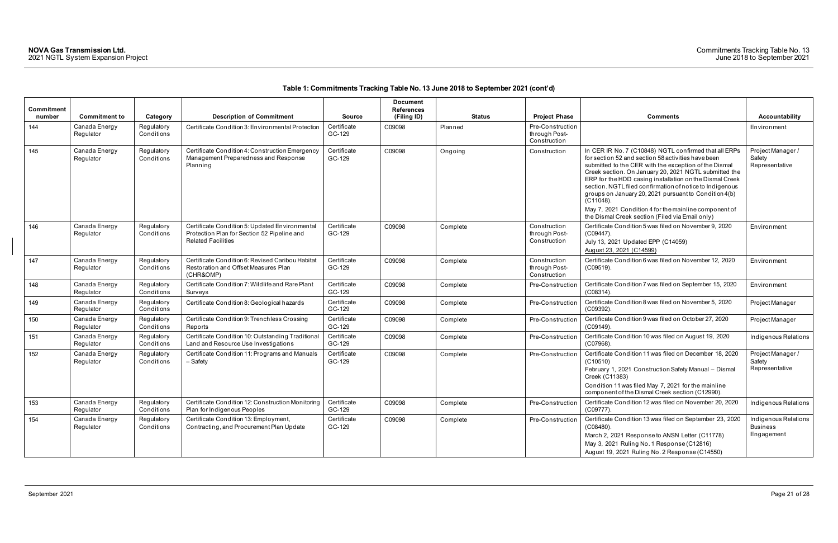| <b>Commitment</b> |                            |                          |                                                                                                                            |                       | <b>Document</b><br><b>References</b> |               |                                                   |                                                                                                                                                                                                                                                                                                                                                                                                                                                                                                                                           |                                                       |
|-------------------|----------------------------|--------------------------|----------------------------------------------------------------------------------------------------------------------------|-----------------------|--------------------------------------|---------------|---------------------------------------------------|-------------------------------------------------------------------------------------------------------------------------------------------------------------------------------------------------------------------------------------------------------------------------------------------------------------------------------------------------------------------------------------------------------------------------------------------------------------------------------------------------------------------------------------------|-------------------------------------------------------|
| number            | <b>Commitment to</b>       | Category                 | <b>Description of Commitment</b>                                                                                           | <b>Source</b>         | (Filing ID)                          | <b>Status</b> | <b>Project Phase</b>                              | <b>Comments</b>                                                                                                                                                                                                                                                                                                                                                                                                                                                                                                                           | <b>Accountability</b>                                 |
| 144               | Canada Energy<br>Regulator | Regulatory<br>Conditions | Certificate Condition 3: Environmental Protection                                                                          | Certificate<br>GC-129 | C09098                               | Planned       | Pre-Construction<br>through Post-<br>Construction |                                                                                                                                                                                                                                                                                                                                                                                                                                                                                                                                           | Environment                                           |
| 145               | Canada Energy<br>Regulator | Regulatory<br>Conditions | Certificate Condition 4: Construction Emergency<br>Management Preparedness and Response<br>Planning                        | Certificate<br>GC-129 | C09098                               | Ongoing       | Construction                                      | In CER IR No. 7 (C10848) NGTL confirmed that all ERPs<br>for section 52 and section 58 activities have been<br>submitted to the CER with the exception of the Dismal<br>Creek section. On January 20, 2021 NGTL submitted the<br>ERP for the HDD casing installation on the Dismal Creek<br>section. NGTL filed confirmation of notice to Indigenous<br>groups on January 20, 2021 pursuant to Condition 4(b)<br>$(C11048)$ .<br>May 7, 2021 Condition 4 for the mainline component of<br>the Dismal Creek section (Filed via Email only) | Project Manager /<br>Safety<br>Representative         |
| 146               | Canada Energy<br>Regulator | Regulatory<br>Conditions | Certificate Condition 5: Updated Environmental<br>Protection Plan for Section 52 Pipeline and<br><b>Related Facilities</b> | Certificate<br>GC-129 | C09098                               | Complete      | Construction<br>through Post-<br>Construction     | Certificate Condition 5 was filed on November 9, 2020<br>$(C09447)$ .<br>July 13, 2021 Updated EPP (C14059)<br>August 23, 2021 (C14599)                                                                                                                                                                                                                                                                                                                                                                                                   | Environment                                           |
| 147               | Canada Energy<br>Regulator | Regulatory<br>Conditions | Certificate Condition 6: Revised Caribou Habitat<br>Restoration and Offset Measures Plan<br>(CHR&OMP)                      | Certificate<br>GC-129 | C09098                               | Complete      | Construction<br>through Post-<br>Construction     | Certificate Condition 6 was filed on November 12, 2020<br>$(C09519)$ .                                                                                                                                                                                                                                                                                                                                                                                                                                                                    | Environment                                           |
| 148               | Canada Energy<br>Regulator | Regulatory<br>Conditions | Certificate Condition 7: Wildlife and Rare Plant<br>Surveys                                                                | Certificate<br>GC-129 | C09098                               | Complete      | Pre-Construction                                  | Certificate Condition 7 was filed on September 15, 2020<br>$(C08314)$ .                                                                                                                                                                                                                                                                                                                                                                                                                                                                   | Environment                                           |
| 149               | Canada Energy<br>Regulator | Regulatory<br>Conditions | Certificate Condition 8: Geological hazards                                                                                | Certificate<br>GC-129 | C09098                               | Complete      | Pre-Construction                                  | Certificate Condition 8 was filed on November 5, 2020<br>(C09392)                                                                                                                                                                                                                                                                                                                                                                                                                                                                         | Project Manager                                       |
| 150               | Canada Energy<br>Regulator | Regulatory<br>Conditions | Certificate Condition 9: Trenchless Crossing<br>Reports                                                                    | Certificate<br>GC-129 | C09098                               | Complete      | Pre-Construction                                  | Certificate Condition 9 was filed on October 27, 2020<br>(C09149).                                                                                                                                                                                                                                                                                                                                                                                                                                                                        | Project Manager                                       |
| 151               | Canada Energy<br>Regulator | Regulatory<br>Conditions | Certificate Condition 10: Outstanding Traditional<br>Land and Resource Use Investigations                                  | Certificate<br>GC-129 | C09098                               | Complete      | Pre-Construction                                  | Certificate Condition 10 was filed on August 19, 2020<br>(C07968).                                                                                                                                                                                                                                                                                                                                                                                                                                                                        | Indigenous Relations                                  |
| 152               | Canada Energy<br>Regulator | Regulatory<br>Conditions | Certificate Condition 11: Programs and Manuals<br>- Safety                                                                 | Certificate<br>GC-129 | C09098                               | Complete      | Pre-Construction                                  | Certificate Condition 11 was filed on December 18, 2020<br>(C10510)<br>February 1, 2021 Construction Safety Manual - Dismal<br>Creek (C11383)<br>Condition 11 was filed May 7, 2021 for the mainline                                                                                                                                                                                                                                                                                                                                      | Project Manager /<br>Safety<br>Representative         |
|                   |                            |                          |                                                                                                                            |                       |                                      |               |                                                   | component of the Dismal Creek section (C12990).                                                                                                                                                                                                                                                                                                                                                                                                                                                                                           |                                                       |
| 153               | Canada Energy<br>Regulator | Regulatory<br>Conditions | Certificate Condition 12: Construction Monitoring<br>Plan for Indigenous Peoples                                           | Certificate<br>GC-129 | C09098                               | Complete      | Pre-Construction                                  | Certificate Condition 12 was filed on November 20, 2020<br>(C09777).                                                                                                                                                                                                                                                                                                                                                                                                                                                                      | Indigenous Relations                                  |
| 154               | Canada Energy<br>Regulator | Regulatory<br>Conditions | Certificate Condition 13: Employment,<br>Contracting, and Procurement Plan Update                                          | Certificate<br>GC-129 | C09098                               | Complete      | Pre-Construction                                  | Certificate Condition 13 was filed on September 23, 2020<br>$(C08480)$ .<br>March 2, 2021 Response to ANSN Letter (C11778)<br>May 3, 2021 Ruling No. 1 Response (C12816)<br>August 19, 2021 Ruling No. 2 Response (C14550)                                                                                                                                                                                                                                                                                                                | Indigenous Relations<br><b>Business</b><br>Engagement |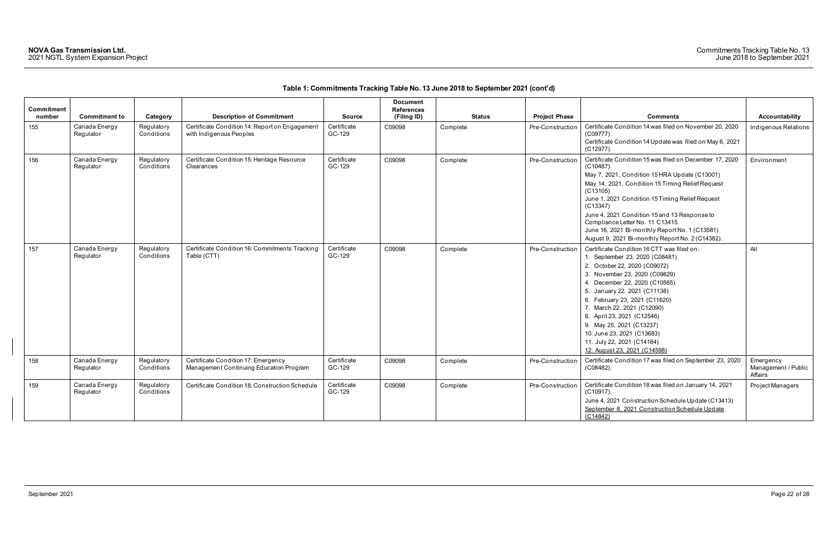| <b>Commitment</b><br>number | <b>Commitment to</b>       | Category                 | <b>Description of Commitment</b>                                               | <b>Source</b>         | <b>Document</b><br><b>References</b><br>(Filing ID) | Status   | <b>Project Phase</b> | <b>Comments</b>                                                                                                                                                                                                                                                                                                                                                                                                                                   | Accountability                              |
|-----------------------------|----------------------------|--------------------------|--------------------------------------------------------------------------------|-----------------------|-----------------------------------------------------|----------|----------------------|---------------------------------------------------------------------------------------------------------------------------------------------------------------------------------------------------------------------------------------------------------------------------------------------------------------------------------------------------------------------------------------------------------------------------------------------------|---------------------------------------------|
| 155                         | Canada Energy<br>Regulator | Regulatory<br>Conditions | Certificate Condition 14: Report on Engagement<br>with Indigenous Peoples      | Certificate<br>GC-129 | C09098                                              | Complete | Pre-Construction     | Certificate Condition 14 was filed on November 20, 2020<br>(C09777).<br>Certificate Condition 14 Update was filed on May 6, 2021<br>$(C12977)$ .                                                                                                                                                                                                                                                                                                  | Indigenous Relations                        |
| 156                         | Canada Energy<br>Regulator | Regulatory<br>Conditions | Certificate Condition 15: Heritage Resource<br>Clearances                      | Certificate<br>GC-129 | C09098                                              | Complete | Pre-Construction     | Certificate Condition 15 was filed on December 17, 2020<br>$(C10487)$ .<br>May 7, 2021, Condition 15 HRA Update (C13001)<br>May 14, 2021, Condition 15 Timing Relief Request<br>(C13105)<br>June 1, 2021 Condition 15 Timing Relief Request<br>(C13347)<br>June 4, 2021 Condition 15 and 13 Response to<br>Compliance Letter No. 11 C13415.<br>June 16, 2021 Bi-monthly Report No. 1 (C13581)<br>August 9, 2021 Bi-monthly Report No. 2 (C14382). | Environment                                 |
| 157                         | Canada Energy<br>Regulator | Regulatory<br>Conditions | Certificate Condition 16: Commitments Tracking<br>Table (CTT)                  | Certificate<br>GC-129 | C09098                                              | Complete | Pre-Construction     | Certificate Condition 16 CTT was filed on:<br>1. September 23, 2020 (C08481)<br>2. October 22, 2020 (C09072)<br>3. November 23, 2020 (C09829)<br>4. December 22, 2020 (C10565)<br>5. January 22, 2021 (C11138)<br>6. February 23, 2021 (C11620)<br>7. March 22, 2021 (C12090)<br>8. April 23, 2021 (C12546)<br>9. May 25, 2021 (C13237)<br>10. June 23, 2021 (C13683)<br>11. July 22, 2021 (C14184)<br>12. August 23, 2021 (C14598)               | All                                         |
| 158                         | Canada Energy<br>Regulator | Regulatory<br>Conditions | Certificate Condition 17: Emergency<br>Management Continuing Education Program | Certificate<br>GC-129 | C09098                                              | Complete | Pre-Construction     | Certificate Condition 17 was filed on September 23, 2020<br>(C08482).                                                                                                                                                                                                                                                                                                                                                                             | Emergency<br>Management / Public<br>Affairs |
| 159                         | Canada Energy<br>Regulator | Regulatory<br>Conditions | Certificate Condition 18: Construction Schedule                                | Certificate<br>GC-129 | C09098                                              | Complete | Pre-Construction     | Certificate Condition 18 was filed on January 14, 2021<br>$(C10917)$ .<br>June 4, 2021 Construction Schedule Update (C13413)<br>September 8, 2021 Construction Schedule Update<br>(C14842)                                                                                                                                                                                                                                                        | Project Managers                            |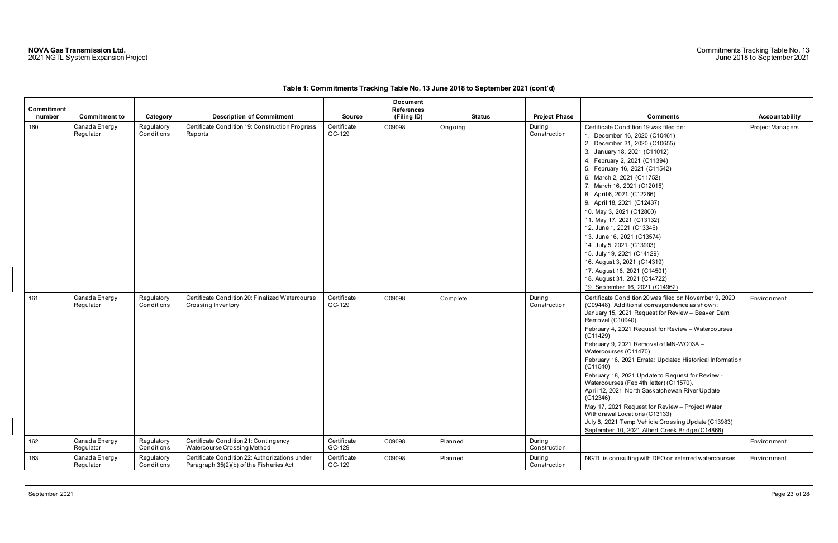| Commitment |                            |                          |                                                                                           |                       | <b>Document</b><br><b>References</b> |               |                        |                                                                                                                                                                                                                                                                                                                                                                                                                                                                                                                                                                                                                                                                                                                                                            |                       |
|------------|----------------------------|--------------------------|-------------------------------------------------------------------------------------------|-----------------------|--------------------------------------|---------------|------------------------|------------------------------------------------------------------------------------------------------------------------------------------------------------------------------------------------------------------------------------------------------------------------------------------------------------------------------------------------------------------------------------------------------------------------------------------------------------------------------------------------------------------------------------------------------------------------------------------------------------------------------------------------------------------------------------------------------------------------------------------------------------|-----------------------|
| number     | <b>Commitment to</b>       | Category                 | <b>Description of Commitment</b>                                                          | <b>Source</b>         | (Filing ID)                          | <b>Status</b> | <b>Project Phase</b>   | <b>Comments</b>                                                                                                                                                                                                                                                                                                                                                                                                                                                                                                                                                                                                                                                                                                                                            | <b>Accountability</b> |
| 160        | Canada Energy<br>Regulator | Regulatory<br>Conditions | Certificate Condition 19: Construction Progress<br>Reports                                | Certificate<br>GC-129 | C09098                               | Ongoing       | During<br>Construction | Certificate Condition 19 was filed on:<br>1. December 16, 2020 (C10461)<br>2. December 31, 2020 (C10655)<br>3. January 18, 2021 (C11012)<br>4. February 2, 2021 (C11394)<br>5. February 16, 2021 (C11542)<br>6. March 2, 2021 (C11752)<br>7. March 16, 2021 (C12015)<br>8. April 6, 2021 (C12266)<br>9. April 18, 2021 (C12437)<br>10. May 3, 2021 (C12800)<br>11. May 17, 2021 (C13132)<br>12. June 1, 2021 (C13346)<br>13. June 16, 2021 (C13574)<br>14. July 5, 2021 (C13903)<br>15. July 19, 2021 (C14129)<br>16. August 3, 2021 (C14319)<br>17. August 16, 2021 (C14501)<br>18. August 31, 2021 (C14722)<br>19. September 16, 2021 (C14962)                                                                                                           | Project Managers      |
| 161        | Canada Energy<br>Regulator | Regulatory<br>Conditions | Certificate Condition 20: Finalized Watercourse<br>Crossing Inventory                     | Certificate<br>GC-129 | C09098                               | Complete      | During<br>Construction | Certificate Condition 20 was filed on November 9, 2020<br>(C09448). Additional correspondence as shown:<br>January 15, 2021 Request for Review - Beaver Dam<br>Removal (C10940)<br>February 4, 2021 Request for Review - Watercourses<br>(C11429)<br>February 9, 2021 Removal of MN-WC03A -<br>Watercourses (C11470)<br>February 16, 2021 Errata: Updated Historical Information<br>(C11540)<br>February 18, 2021 Update to Request for Review -<br>Watercourses (Feb 4th letter) (C11570).<br>April 12, 2021 North Saskatchewan River Update<br>$(C12346)$ .<br>May 17, 2021 Request for Review - Project Water<br>Withdrawal Locations (C13133)<br>July 8, 2021 Temp Vehicle Crossing Update (C13983)<br>September 10, 2021 Albert Creek Bridge (C14866) | Environment           |
| 162        | Canada Energy<br>Regulator | Regulatory<br>Conditions | Certificate Condition 21: Contingency<br>Watercourse Crossing Method                      | Certificate<br>GC-129 | C09098                               | Planned       | During<br>Construction |                                                                                                                                                                                                                                                                                                                                                                                                                                                                                                                                                                                                                                                                                                                                                            | Environment           |
| 163        | Canada Energy<br>Regulator | Regulatory<br>Conditions | Certificate Condition 22: Authorizations under<br>Paragraph 35(2)(b) of the Fisheries Act | Certificate<br>GC-129 | C09098                               | Planned       | During<br>Construction | NGTL is consulting with DFO on referred watercourses.                                                                                                                                                                                                                                                                                                                                                                                                                                                                                                                                                                                                                                                                                                      | Environment           |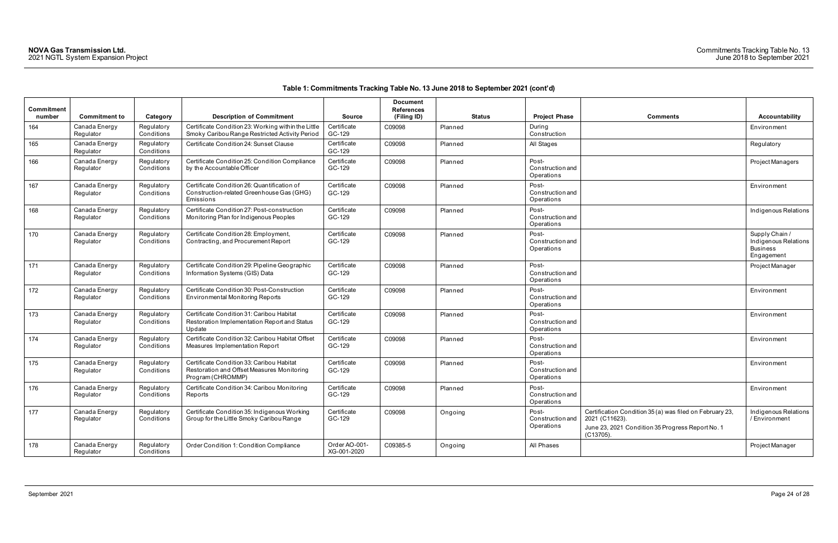$\overline{\phantom{a}}$ 

| <b>Commitment</b><br>number | <b>Commitment to</b>       | Category                 | <b>Description of Commitment</b>                                                                             | <b>Source</b>                | <b>Document</b><br><b>References</b><br>(Filing ID) | <b>Status</b> | <b>Project Phase</b>                           | <b>Comments</b>                                                                                                                             | Accountability                                                        |
|-----------------------------|----------------------------|--------------------------|--------------------------------------------------------------------------------------------------------------|------------------------------|-----------------------------------------------------|---------------|------------------------------------------------|---------------------------------------------------------------------------------------------------------------------------------------------|-----------------------------------------------------------------------|
| 164                         | Canada Energy<br>Regulator | Regulatory<br>Conditions | Certificate Condition 23: Working within the Little<br>Smoky Caribou Range Restricted Activity Period        | Certificate<br>GC-129        | C09098                                              | Planned       | During<br>Construction                         |                                                                                                                                             | Environment                                                           |
| 165                         | Canada Energy<br>Regulator | Regulatory<br>Conditions | Certificate Condition 24: Sunset Clause                                                                      | Certificate<br>GC-129        | C09098                                              | Planned       | All Stages                                     |                                                                                                                                             | Regulatory                                                            |
| 166                         | Canada Energy<br>Regulator | Regulatory<br>Conditions | Certificate Condition 25: Condition Compliance<br>by the Accountable Officer                                 | Certificate<br>GC-129        | C09098                                              | Planned       | Post-<br><b>Construction and</b><br>Operations |                                                                                                                                             | Project Managers                                                      |
| 167                         | Canada Energy<br>Regulator | Regulatory<br>Conditions | Certificate Condition 26: Quantification of<br>Construction-related Greenhouse Gas (GHG)<br>Emissions        | Certificate<br>GC-129        | C09098                                              | Planned       | Post-<br><b>Construction and</b><br>Operations |                                                                                                                                             | Environment                                                           |
| 168                         | Canada Energy<br>Regulator | Regulatory<br>Conditions | Certificate Condition 27: Post-construction<br>Monitoring Plan for Indigenous Peoples                        | Certificate<br>GC-129        | C09098                                              | Planned       | Post-<br>Construction and<br>Operations        |                                                                                                                                             | Indigenous Relatio                                                    |
| 170                         | Canada Energy<br>Regulator | Regulatory<br>Conditions | Certificate Condition 28: Employment,<br>Contracting, and Procurement Report                                 | Certificate<br>GC-129        | C09098                                              | Planned       | Post-<br><b>Construction and</b><br>Operations |                                                                                                                                             | Supply Chain /<br>Indigenous Relatio<br><b>Business</b><br>Engagement |
| 171                         | Canada Energy<br>Regulator | Regulatory<br>Conditions | Certificate Condition 29: Pipeline Geographic<br>Information Systems (GIS) Data                              | Certificate<br>GC-129        | C09098                                              | Planned       | Post-<br>Construction and<br>Operations        |                                                                                                                                             | Project Manager                                                       |
| 172                         | Canada Energy<br>Regulator | Regulatory<br>Conditions | Certificate Condition 30: Post-Construction<br><b>Environmental Monitoring Reports</b>                       | Certificate<br>GC-129        | C09098                                              | Planned       | Post-<br>Construction and<br>Operations        |                                                                                                                                             | Environment                                                           |
| 173                         | Canada Energy<br>Regulator | Regulatory<br>Conditions | Certificate Condition 31: Caribou Habitat<br>Restoration Implementation Report and Status<br>Update          | Certificate<br>GC-129        | C09098                                              | Planned       | Post-<br>Construction and<br>Operations        |                                                                                                                                             | Environment                                                           |
| 174                         | Canada Energy<br>Regulator | Regulatory<br>Conditions | Certificate Condition 32: Caribou Habitat Offset<br>Measures Implementation Report                           | Certificate<br>GC-129        | C09098                                              | Planned       | Post-<br><b>Construction and</b><br>Operations |                                                                                                                                             | Environment                                                           |
| 175                         | Canada Energy<br>Regulator | Regulatory<br>Conditions | Certificate Condition 33: Caribou Habitat<br>Restoration and Offset Measures Monitoring<br>Program (CHROMMP) | Certificate<br>GC-129        | C09098                                              | Planned       | Post-<br>Construction and<br>Operations        |                                                                                                                                             | Environment                                                           |
| 176                         | Canada Energy<br>Regulator | Regulatory<br>Conditions | Certificate Condition 34: Caribou Monitoring<br>Reports                                                      | Certificate<br>GC-129        | C09098                                              | Planned       | Post-<br>Construction and<br>Operations        |                                                                                                                                             | Environment                                                           |
| 177                         | Canada Energy<br>Regulator | Regulatory<br>Conditions | Certificate Condition 35: Indigenous Working<br>Group for the Little Smoky Caribou Range                     | Certificate<br>GC-129        | C09098                                              | Ongoing       | Post-<br>Construction and<br>Operations        | Certification Condition 35 (a) was filed on February 23,<br>2021 (C11623).<br>June 23, 2021 Condition 35 Progress Report No. 1<br>(C13705). | Indigenous Relatio<br>/ Environment                                   |
| 178                         | Canada Energy<br>Regulator | Regulatory<br>Conditions | Order Condition 1: Condition Compliance                                                                      | Order AO-001-<br>XG-001-2020 | C09385-5                                            | Ongoing       | All Phases                                     |                                                                                                                                             | Project Manager                                                       |

| <b>Comments</b>                                                                                                                             | <b>Accountability</b>                                                   |
|---------------------------------------------------------------------------------------------------------------------------------------------|-------------------------------------------------------------------------|
|                                                                                                                                             | Environment                                                             |
|                                                                                                                                             | Regulatory                                                              |
|                                                                                                                                             | Project Managers                                                        |
|                                                                                                                                             | Environment                                                             |
|                                                                                                                                             | Indigenous Relations                                                    |
|                                                                                                                                             | Supply Chain /<br>Indigenous Relations<br><b>Business</b><br>Engagement |
|                                                                                                                                             | Project Manager                                                         |
|                                                                                                                                             | Environment                                                             |
|                                                                                                                                             | Environment                                                             |
|                                                                                                                                             | Environment                                                             |
|                                                                                                                                             | Environment                                                             |
|                                                                                                                                             | Environment                                                             |
| Certification Condition 35 (a) was filed on February 23,<br>2021 (C11623).<br>June 23, 2021 Condition 35 Progress Report No. 1<br>(C13705). | Indigenous Relations<br>/ Environment                                   |
|                                                                                                                                             | Project Manager                                                         |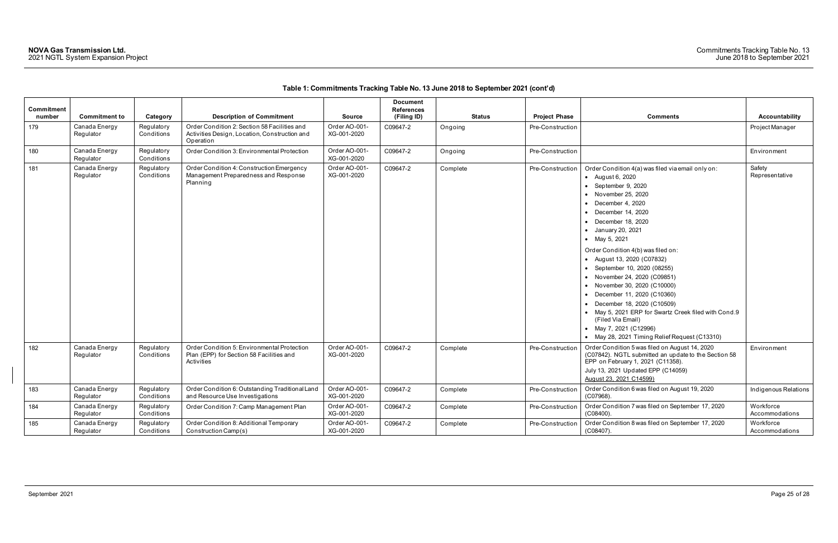| Commitment<br>number | <b>Commitment to</b>       | Category                 | <b>Description of Commitment</b>                                                                           | <b>Source</b>                | <b>Document</b><br><b>References</b><br>(Filing ID) | <b>Status</b> | <b>Project Phase</b> | <b>Comments</b>                                                                                                                                                                                                                                                                                                                                                                                                                                                                                                                                                                                                              | <b>Accountability</b>       |
|----------------------|----------------------------|--------------------------|------------------------------------------------------------------------------------------------------------|------------------------------|-----------------------------------------------------|---------------|----------------------|------------------------------------------------------------------------------------------------------------------------------------------------------------------------------------------------------------------------------------------------------------------------------------------------------------------------------------------------------------------------------------------------------------------------------------------------------------------------------------------------------------------------------------------------------------------------------------------------------------------------------|-----------------------------|
| 179                  | Canada Energy<br>Regulator | Regulatory<br>Conditions | Order Condition 2: Section 58 Facilities and<br>Activities Design, Location, Construction and<br>Operation | Order AO-001-<br>XG-001-2020 | C09647-2                                            | Ongoing       | Pre-Construction     |                                                                                                                                                                                                                                                                                                                                                                                                                                                                                                                                                                                                                              | Project Manager             |
| 180                  | Canada Energy<br>Regulator | Regulatory<br>Conditions | Order Condition 3: Environmental Protection                                                                | Order AO-001-<br>XG-001-2020 | C09647-2                                            | Ongoing       | Pre-Construction     |                                                                                                                                                                                                                                                                                                                                                                                                                                                                                                                                                                                                                              | Environment                 |
| 181                  | Canada Energy<br>Regulator | Regulatory<br>Conditions | Order Condition 4: Construction Emergency<br>Management Preparedness and Response<br>Planning              | Order AO-001-<br>XG-001-2020 | C09647-2                                            | Complete      | Pre-Construction     | Order Condition 4(a) was filed via email only on:<br>• August 6, 2020<br>$\bullet$ September 9, 2020<br>• November 25, 2020<br>December 4, 2020<br>December 14, 2020<br>December 18, 2020<br>• January 20, 2021<br>• May 5, 2021<br>Order Condition 4(b) was filed on:<br>• August 13, 2020 (C07832)<br>• September 10, 2020 (08255)<br>• November 24, 2020 (C09851)<br>• November 30, 2020 (C10000)<br>• December 11, 2020 (C10360)<br>• December 18, 2020 (C10509)<br>• May 5, 2021 ERP for Swartz Creek filed with Cond.9<br>(Filed Via Email)<br>• May 7, 2021 (C12996)<br>• May 28, 2021 Timing Relief Request (C13310) | Safety<br>Representative    |
| 182                  | Canada Energy<br>Regulator | Regulatory<br>Conditions | Order Condition 5: Environmental Protection<br>Plan (EPP) for Section 58 Facilities and<br>Activities      | Order AO-001-<br>XG-001-2020 | C09647-2                                            | Complete      | Pre-Construction     | Order Condition 5 was filed on August 14, 2020<br>(C07842). NGTL submitted an update to the Section 58<br>EPP on February 1, 2021 (C11358).<br>July 13, 2021 Updated EPP (C14059)<br>August 23, 2021 C14599)                                                                                                                                                                                                                                                                                                                                                                                                                 | Environment                 |
| 183                  | Canada Energy<br>Regulator | Regulatory<br>Conditions | Order Condition 6: Outstanding Traditional Land<br>and Resource Use Investigations                         | Order AO-001-<br>XG-001-2020 | C09647-2                                            | Complete      | Pre-Construction     | Order Condition 6 was filed on August 19, 2020<br>$(C07968)$ .                                                                                                                                                                                                                                                                                                                                                                                                                                                                                                                                                               | Indigenous Relations        |
| 184                  | Canada Energy<br>Regulator | Regulatory<br>Conditions | Order Condition 7: Camp Management Plan                                                                    | Order AO-001-<br>XG-001-2020 | C09647-2                                            | Complete      | Pre-Construction     | Order Condition 7 was filed on September 17, 2020<br>$(C08400)$ .                                                                                                                                                                                                                                                                                                                                                                                                                                                                                                                                                            | Workforce<br>Accommodations |
| 185                  | Canada Energy<br>Regulator | Regulatory<br>Conditions | Order Condition 8: Additional Temporary<br>Construction Camp(s)                                            | Order AO-001-<br>XG-001-2020 | C09647-2                                            | Complete      | Pre-Construction     | Order Condition 8 was filed on September 17, 2020<br>$(C08407)$ .                                                                                                                                                                                                                                                                                                                                                                                                                                                                                                                                                            | Workforce<br>Accommodations |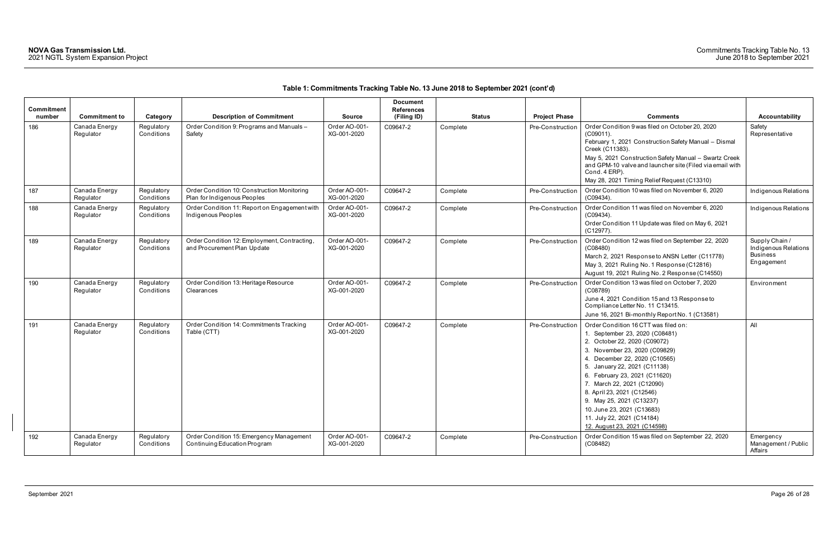| Commitment |                            |                          |                                                                             |                              | <b>Document</b><br><b>References</b> |               |                      |                                                                                                                                                                                                                                                                                                                                                                                                                               |                                                                         |
|------------|----------------------------|--------------------------|-----------------------------------------------------------------------------|------------------------------|--------------------------------------|---------------|----------------------|-------------------------------------------------------------------------------------------------------------------------------------------------------------------------------------------------------------------------------------------------------------------------------------------------------------------------------------------------------------------------------------------------------------------------------|-------------------------------------------------------------------------|
| number     | <b>Commitment to</b>       | Category                 | <b>Description of Commitment</b>                                            | <b>Source</b>                | (Filing ID)                          | <b>Status</b> | <b>Project Phase</b> | <b>Comments</b>                                                                                                                                                                                                                                                                                                                                                                                                               | <b>Accountability</b>                                                   |
| 186        | Canada Energy<br>Regulator | Regulatory<br>Conditions | Order Condition 9: Programs and Manuals-<br>Safety                          | Order AO-001-<br>XG-001-2020 | C09647-2                             | Complete      | Pre-Construction     | Order Condition 9 was filed on October 20, 2020<br>$(C09011)$ .<br>February 1, 2021 Construction Safety Manual - Dismal<br>Creek (C11383).<br>May 5, 2021 Construction Safety Manual - Swartz Creek<br>and GPM-10 valve and launcher site (Filed via email with<br>Cond. 4 ERP).<br>May 28, 2021 Timing Relief Request (C13310)                                                                                               | Safety<br>Representative                                                |
| 187        | Canada Energy<br>Regulator | Regulatory<br>Conditions | Order Condition 10: Construction Monitoring<br>Plan for Indigenous Peoples  | Order AO-001-<br>XG-001-2020 | C09647-2                             | Complete      | Pre-Construction     | Order Condition 10 was filed on November 6, 2020<br>$(C09434)$ .                                                                                                                                                                                                                                                                                                                                                              | Indigenous Relations                                                    |
| 188        | Canada Energy<br>Regulator | Regulatory<br>Conditions | Order Condition 11: Report on Engagement with<br>Indigenous Peoples         | Order AO-001-<br>XG-001-2020 | C09647-2                             | Complete      | Pre-Construction     | Order Condition 11 was filed on November 6, 2020<br>$(C09434)$ .<br>Order Condition 11 Update was filed on May 6, 2021<br>$(C12977)$ .                                                                                                                                                                                                                                                                                        | Indigenous Relations                                                    |
| 189        | Canada Energy<br>Regulator | Regulatory<br>Conditions | Order Condition 12: Employment, Contracting,<br>and Procurement Plan Update | Order AO-001-<br>XG-001-2020 | C09647-2                             | Complete      | Pre-Construction     | Order Condition 12 was filed on September 22, 2020<br>(C08480)<br>March 2, 2021 Response to ANSN Letter (C11778)<br>May 3, 2021 Ruling No. 1 Response (C12816)<br>August 19, 2021 Ruling No. 2 Response (C14550)                                                                                                                                                                                                              | Supply Chain /<br>Indigenous Relations<br><b>Business</b><br>Engagement |
| 190        | Canada Energy<br>Regulator | Regulatory<br>Conditions | Order Condition 13: Heritage Resource<br>Clearances                         | Order AO-001-<br>XG-001-2020 | C09647-2                             | Complete      | Pre-Construction     | Order Condition 13 was filed on October 7, 2020<br>(C08789)<br>June 4, 2021 Condition 15 and 13 Response to<br>Compliance Letter No. 11 C13415.<br>June 16, 2021 Bi-monthly Report No. 1 (C13581)                                                                                                                                                                                                                             | Environment                                                             |
| 191        | Canada Energy<br>Regulator | Regulatory<br>Conditions | Order Condition 14: Commitments Tracking<br>Table (CTT)                     | Order AO-001-<br>XG-001-2020 | C09647-2                             | Complete      | Pre-Construction     | Order Condition 16 CTT was filed on:<br>1. September 23, 2020 (C08481)<br>2. October 22, 2020 (C09072)<br>3. November 23, 2020 (C09829)<br>4. December 22, 2020 (C10565)<br>5. January 22, 2021 (C11138)<br>6. February 23, 2021 (C11620)<br>7. March 22, 2021 (C12090)<br>8. April 23, 2021 (C12546)<br>9. May 25, 2021 (C13237)<br>10. June 23, 2021 (C13683)<br>11. July 22, 2021 (C14184)<br>12. August 23, 2021 (C14598) | All                                                                     |
| 192        | Canada Energy<br>Regulator | Regulatory<br>Conditions | Order Condition 15: Emergency Management<br>Continuing Education Program    | Order AO-001-<br>XG-001-2020 | C09647-2                             | Complete      | Pre-Construction     | Order Condition 15 was filed on September 22, 2020<br>(C08482)                                                                                                                                                                                                                                                                                                                                                                | Emergency<br>Management / Public<br>Affairs                             |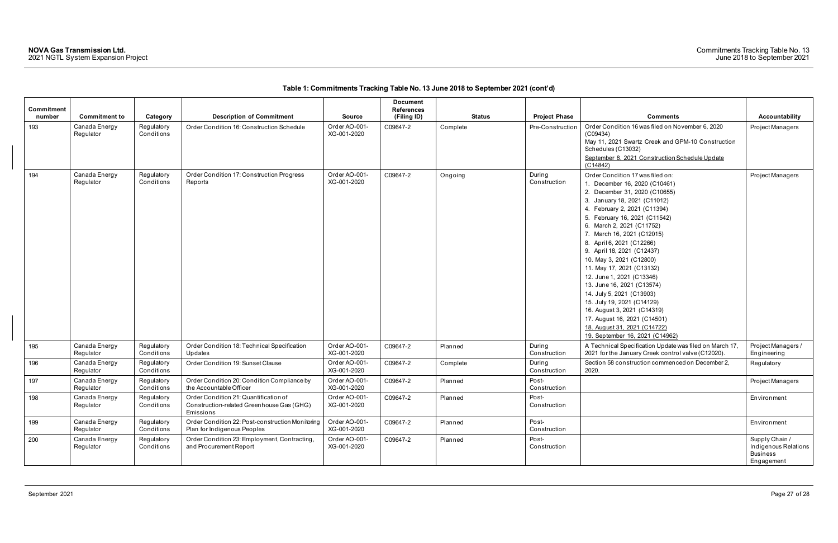| Commitment |                            |                          |                                                                                                 |                              | <b>Document</b><br><b>References</b> |               |                        |                                                                                                                                                                                                                                                                                                                                                                                                                                                                                                                                                                                                                                            |                                                                         |
|------------|----------------------------|--------------------------|-------------------------------------------------------------------------------------------------|------------------------------|--------------------------------------|---------------|------------------------|--------------------------------------------------------------------------------------------------------------------------------------------------------------------------------------------------------------------------------------------------------------------------------------------------------------------------------------------------------------------------------------------------------------------------------------------------------------------------------------------------------------------------------------------------------------------------------------------------------------------------------------------|-------------------------------------------------------------------------|
| number     | <b>Commitment to</b>       | Category                 | <b>Description of Commitment</b>                                                                | <b>Source</b>                | (Filing ID)                          | <b>Status</b> | <b>Project Phase</b>   | <b>Comments</b>                                                                                                                                                                                                                                                                                                                                                                                                                                                                                                                                                                                                                            | <b>Accountability</b>                                                   |
| 193        | Canada Energy<br>Regulator | Regulatory<br>Conditions | Order Condition 16: Construction Schedule                                                       | Order AO-001-<br>XG-001-2020 | C09647-2                             | Complete      | Pre-Construction       | Order Condition 16 was filed on November 6, 2020<br>(C09434)<br>May 11, 2021 Swartz Creek and GPM-10 Construction<br>Schedules (C13032)<br>September 8, 2021 Construction Schedule Update<br>(C14842)                                                                                                                                                                                                                                                                                                                                                                                                                                      | Project Managers                                                        |
| 194        | Canada Energy<br>Regulator | Regulatory<br>Conditions | Order Condition 17: Construction Progress<br>Reports                                            | Order AO-001-<br>XG-001-2020 | C09647-2                             | Ongoing       | During<br>Construction | Order Condition 17 was filed on:<br>1. December 16, 2020 (C10461)<br>2. December 31, 2020 (C10655)<br>3. January 18, 2021 (C11012)<br>4. February 2, 2021 (C11394)<br>5. February 16, 2021 (C11542)<br>6. March 2, 2021 (C11752)<br>7. March 16, 2021 (C12015)<br>8. April 6, 2021 (C12266)<br>9. April 18, 2021 (C12437)<br>10. May 3, 2021 (C12800)<br>11. May 17, 2021 (C13132)<br>12. June 1, 2021 (C13346)<br>13. June 16, 2021 (C13574)<br>14. July 5, 2021 (C13903)<br>15. July 19, 2021 (C14129)<br>16. August 3, 2021 (C14319)<br>17. August 16, 2021 (C14501)<br>18. August 31, 2021 (C14722)<br>19. September 16, 2021 (C14962) | Project Managers                                                        |
| 195        | Canada Energy<br>Regulator | Regulatory<br>Conditions | Order Condition 18: Technical Specification<br>Updates                                          | Order AO-001-<br>XG-001-2020 | C09647-2                             | Planned       | During<br>Construction | A Technical Specification Update was filed on March 17,<br>2021 for the January Creek control valve (C12020).                                                                                                                                                                                                                                                                                                                                                                                                                                                                                                                              | Project Managers /<br>Engineering                                       |
| 196        | Canada Energy<br>Regulator | Regulatory<br>Conditions | Order Condition 19: Sunset Clause                                                               | Order AO-001-<br>XG-001-2020 | C09647-2                             | Complete      | During<br>Construction | Section 58 construction commenced on December 2,<br>2020.                                                                                                                                                                                                                                                                                                                                                                                                                                                                                                                                                                                  | Regulatory                                                              |
| 197        | Canada Energy<br>Regulator | Regulatory<br>Conditions | Order Condition 20: Condition Compliance by<br>the Accountable Officer                          | Order AO-001-<br>XG-001-2020 | C09647-2                             | Planned       | Post-<br>Construction  |                                                                                                                                                                                                                                                                                                                                                                                                                                                                                                                                                                                                                                            | Project Managers                                                        |
| 198        | Canada Energy<br>Regulator | Regulatory<br>Conditions | Order Condition 21: Quantification of<br>Construction-related Greenhouse Gas (GHG)<br>Emissions | Order AO-001-<br>XG-001-2020 | C09647-2                             | Planned       | Post-<br>Construction  |                                                                                                                                                                                                                                                                                                                                                                                                                                                                                                                                                                                                                                            | Environment                                                             |
| 199        | Canada Energy<br>Regulator | Regulatory<br>Conditions | Order Condition 22: Post-construction Monitoring<br>Plan for Indigenous Peoples                 | Order AO-001-<br>XG-001-2020 | C09647-2                             | Planned       | Post-<br>Construction  |                                                                                                                                                                                                                                                                                                                                                                                                                                                                                                                                                                                                                                            | Environment                                                             |
| 200        | Canada Energy<br>Regulator | Regulatory<br>Conditions | Order Condition 23: Employment, Contracting,<br>and Procurement Report                          | Order AO-001-<br>XG-001-2020 | C09647-2                             | Planned       | Post-<br>Construction  |                                                                                                                                                                                                                                                                                                                                                                                                                                                                                                                                                                                                                                            | Supply Chain /<br>Indigenous Relations<br><b>Business</b><br>Engagement |